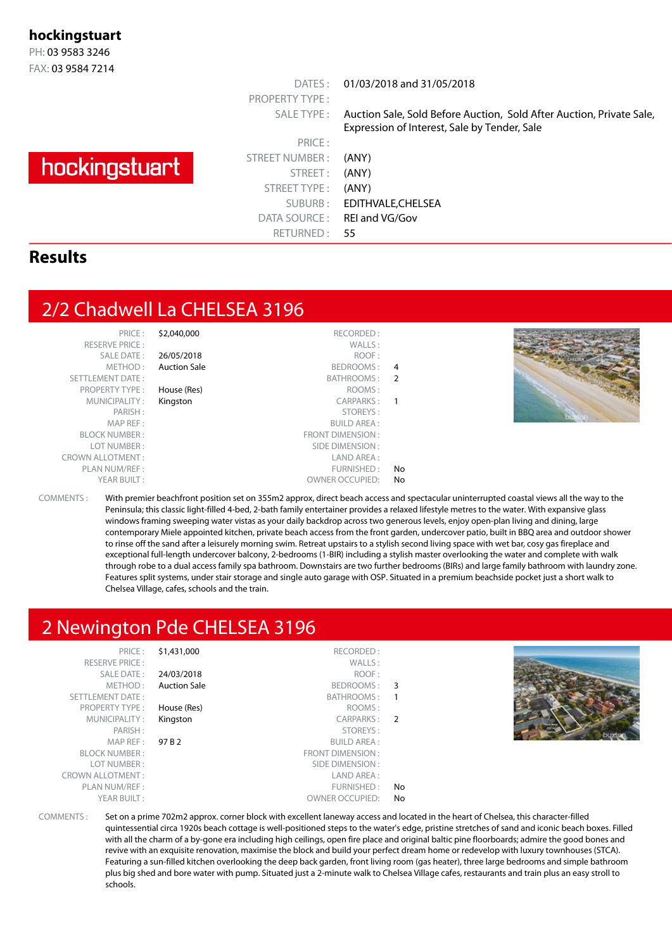#### **hockingstuart**

PH: 03 9583 3246 FAX: 03 9584 7214

# hockingstuart

PRICE : STREET NUMBER : (ANY) STREET: (ANY) STREET TYPE : (ANY) DATA SOURCE: REI and VG/Gov RETURNED : 55

PROPERTY TYPE :

DATES : 01/03/2018 and 31/05/2018

SALE TYPE : Auction Sale, Sold Before Auction, Sold After Auction, Private Sale, Expression of Interest, Sale by Tender, Sale

SUBURB : EDITHVALE,CHELSEA

#### **Results**

# 2/2 Chadwell La CHELSEA 3196

| PRICE:                  | \$2,040,000         | RECORDED:              |     |                                                                                                                                      |
|-------------------------|---------------------|------------------------|-----|--------------------------------------------------------------------------------------------------------------------------------------|
| <b>RESERVE PRICE:</b>   |                     | WALLS:                 |     |                                                                                                                                      |
| SALE DATE:              | 26/05/2018          | ROOF:                  |     |                                                                                                                                      |
| METHOD:                 | <b>Auction Sale</b> | BEDROOMS: 4            |     |                                                                                                                                      |
| SETTLEMENT DATE:        |                     | BATHROOMS: 2           |     |                                                                                                                                      |
| <b>PROPERTY TYPE:</b>   | House (Res)         | ROOMS:                 |     |                                                                                                                                      |
| MUNICIPALITY:           | Kingston            | CARPARKS: 1            |     |                                                                                                                                      |
| PARISH:                 |                     | STOREYS:               |     |                                                                                                                                      |
| MAP REF :               |                     | <b>BUILD AREA:</b>     |     |                                                                                                                                      |
| <b>BLOCK NUMBER:</b>    |                     | FRONT DIMENSION:       |     |                                                                                                                                      |
| LOT NUMBER:             |                     | SIDE DIMENSION :       |     |                                                                                                                                      |
| <b>CROWN ALLOTMENT:</b> |                     | LAND AREA :            |     |                                                                                                                                      |
| PLAN NUM/REF :          |                     | FURNISHED:             | No. |                                                                                                                                      |
| YEAR BUILT:             |                     | <b>OWNER OCCUPIED:</b> | No. |                                                                                                                                      |
| $COMMENTC$ .            |                     |                        |     | With promiar boachfront position sot on 355m2 approvalization accoss and spoctacular uninterrupted coastal violus all the way to the |

sition set on 355m2 approx, direct beach access and spectacular uninterrupted coastal views all the way to the Peninsula; this classic light-filled 4-bed, 2-bath family entertainer provides a relaxed lifestyle metres to the water. With expansive glass windows framing sweeping water vistas as your daily backdrop across two generous levels, enjoy open-plan living and dining, large contemporary Miele appointed kitchen, private beach access from the front garden, undercover patio, built in BBQ area and outdoor shower to rinse off the sand after a leisurely morning swim. Retreat upstairs to a stylish second living space with wet bar, cosy gas fireplace and exceptional full-length undercover balcony, 2-bedrooms (1-BIR) including a stylish master overlooking the water and complete with walk through robe to a dual access family spa bathroom. Downstairs are two further bedrooms (BIRs) and large family bathroom with laundry zone. Features split systems, under stair storage and single auto garage with OSP. Situated in a premium beachside pocket just a short walk to Chelsea Village, cafes, schools and the train.

# 2 Newington Pde CHELSEA 3196

| \$1,431,000<br>RECORDED:<br>PRICE:<br>WALLS:<br><b>RESERVE PRICE:</b><br>SALE DATE:<br>ROOF:<br>24/03/2018<br><b>Auction Sale</b><br>METHOD:<br>BEDROOMS:<br>SETTLEMENT DATE:<br>BATHROOMS:<br>House (Res)<br>ROOMS:<br><b>PROPERTY TYPE:</b><br>CARPARKS:<br>MUNICIPALITY:<br>Kingston<br>PARISH:<br>STOREYS:<br>MAP REF :<br>97 B 2<br>BUILD AREA :<br><b>BLOCK NUMBER:</b><br>FRONT DIMENSION :<br>LOT NUMBER:<br>SIDE DIMENSION :<br><b>CROWN ALLOTMENT:</b><br>LAND AREA :<br>PLAN NUM/REF :<br>FURNISHED:<br>YEAR BUILT:<br><b>OWNER OCCUPIED:</b> | - 3<br>- 1<br>$\overline{2}$<br>No.<br>No |
|----------------------------------------------------------------------------------------------------------------------------------------------------------------------------------------------------------------------------------------------------------------------------------------------------------------------------------------------------------------------------------------------------------------------------------------------------------------------------------------------------------------------------------------------------------|-------------------------------------------|
|----------------------------------------------------------------------------------------------------------------------------------------------------------------------------------------------------------------------------------------------------------------------------------------------------------------------------------------------------------------------------------------------------------------------------------------------------------------------------------------------------------------------------------------------------------|-------------------------------------------|

COMMENTS : Set on a prime 702m2 approx. corner block with excellent laneway access and located in the heart of Chelsea, this character-filled quintessential circa 1920s beach cottage is well-positioned steps to the water's edge, pristine stretches of sand and iconic beach boxes. Filled with all the charm of a by-gone era including high ceilings, open fire place and original baltic pine floorboards; admire the good bones and revive with an exquisite renovation, maximise the block and build your perfect dream home or redevelop with luxury townhouses (STCA). Featuring a sun-filled kitchen overlooking the deep back garden, front living room (gas heater), three large bedrooms and simple bathroom plus big shed and bore water with pump. Situated just a 2-minute walk to Chelsea Village cafes, restaurants and train plus an easy stroll to schools.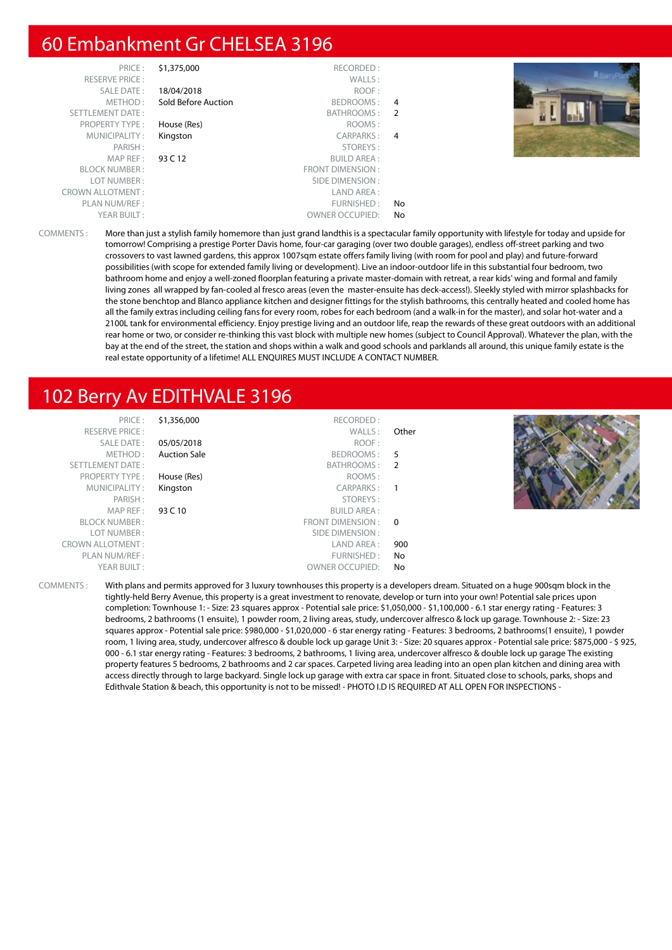# 60 Embankment Gr CHELSEA 3196

| PRICE:                  | \$1,375,000         | RECORDED:               |                |
|-------------------------|---------------------|-------------------------|----------------|
| <b>RESERVE PRICE:</b>   |                     | WALLS:                  |                |
| SALE DATE:              | 18/04/2018          | ROOF:                   |                |
| METHOD:                 | Sold Before Auction | BEDROOMS:               | 4              |
| <b>SETTLEMENT DATE:</b> |                     | BATHROOMS:              | $\overline{2}$ |
| <b>PROPERTY TYPE:</b>   | House (Res)         | ROOMS:                  |                |
| MUNICIPALITY:           | Kingston            | CARPARKS:               | 4              |
| PARISH:                 |                     | STOREYS:                |                |
| MAP REF:                | 93 C 12             | <b>BUILD AREA:</b>      |                |
| <b>BLOCK NUMBER:</b>    |                     | <b>FRONT DIMENSION:</b> |                |
| LOT NUMBER:             |                     | SIDE DIMENSION:         |                |
| <b>CROWN ALLOTMENT:</b> |                     | LAND AREA:              |                |
| PLAN NUM/REF:           |                     | FURNISHED:              | No.            |
| YEAR BUILT:             |                     | <b>OWNER OCCUPIED:</b>  | No             |
|                         |                     |                         |                |



COMMENTS : More than just a stylish family homemore than just grand landthis is a spectacular family opportunity with lifestyle for today and upside for tomorrow! Comprising a prestige Porter Davis home, four-car garaging (over two double garages), endless off-street parking and two crossovers to vast lawned gardens, this approx 1007sqm estate offers family living (with room for pool and play) and future-forward possibilities (with scope for extended family living or development). Live an indoor-outdoor life in this substantial four bedroom, two bathroom home and enjoy a well-zoned floorplan featuring a private master-domain with retreat, a rear kids' wing and formal and family living zones all wrapped by fan-cooled al fresco areas (even the master-ensuite has deck-access!). Sleekly styled with mirror splashbacks for the stone benchtop and Blanco appliance kitchen and designer fittings for the stylish bathrooms, this centrally heated and cooled home has all the family extras including ceiling fans for every room, robes for each bedroom (and a walk-in for the master), and solar hot-water and a 2100L tank for environmental efficiency. Enjoy prestige living and an outdoor life, reap the rewards of these great outdoors with an additional rear home or two, or consider re-thinking this vast block with multiple new homes (subject to Council Approval). Whatever the plan, with the bay at the end of the street, the station and shops within a walk and good schools and parklands all around, this unique family estate is the real estate opportunity of a lifetime! ALL ENQUIRES MUST INCLUDE A CONTACT NUMBER.

## 102 Berry Av EDITHVALE 3196

| PRICE:<br><b>RESERVE PRICE:</b><br>SALE DATE: | \$1,356,000<br>05/05/2018 | RECORDED:<br>WALLS:<br>ROOF: | Other |  |
|-----------------------------------------------|---------------------------|------------------------------|-------|--|
| METHOD:                                       | <b>Auction Sale</b>       | BEDROOMS: 5                  |       |  |
| SETTLEMENT DATE:                              |                           | BATHROOMS: 2                 |       |  |
| <b>PROPERTY TYPE:</b>                         | House (Res)               | ROOMS:                       |       |  |
| MUNICIPALITY:                                 | Kingston                  | CARPARKS: 1                  |       |  |
| PARISH:                                       |                           | STOREYS:                     |       |  |
| MAPREF:                                       | 93 C 10                   | BUILD AREA :                 |       |  |
| <b>BLOCK NUMBER:</b>                          |                           | FRONT DIMENSION: 0           |       |  |
| LOT NUMBER:                                   |                           | SIDE DIMENSION :             |       |  |
| <b>CROWN ALLOTMENT:</b>                       |                           | LAND AREA :                  | 900   |  |
| PLAN NUM/REF :                                |                           | FURNISHED:                   | No    |  |
| YEAR BUILT:                                   |                           | <b>OWNER OCCUPIED:</b>       | No    |  |

COMMENTS : With plans and permits approved for 3 luxury townhouses this property is a developers dream. Situated on a huge 900sqm block in the tightly-held Berry Avenue, this property is a great investment to renovate, develop or turn into your own! Potential sale prices upon completion: Townhouse 1: - Size: 23 squares approx - Potential sale price: \$1,050,000 - \$1,100,000 - 6.1 star energy rating - Features: 3 bedrooms, 2 bathrooms (1 ensuite), 1 powder room, 2 living areas, study, undercover alfresco & lock up garage. Townhouse 2: - Size: 23 squares approx - Potential sale price: \$980,000 - \$1,020,000 - 6 star energy rating - Features: 3 bedrooms, 2 bathrooms(1 ensuite), 1 powder room, 1 living area, study, undercover alfresco & double lock up garage Unit 3: - Size: 20 squares approx - Potential sale price: \$875,000 - \$ 925, 000 - 6.1 star energy rating - Features: 3 bedrooms, 2 bathrooms, 1 living area, undercover alfresco & double lock up garage The existing property features 5 bedrooms, 2 bathrooms and 2 car spaces. Carpeted living area leading into an open plan kitchen and dining area with access directly through to large backyard. Single lock up garage with extra car space in front. Situated close to schools, parks, shops and Edithvale Station & beach, this opportunity is not to be missed! - PHOTO I.D IS REQUIRED AT ALL OPEN FOR INSPECTIONS -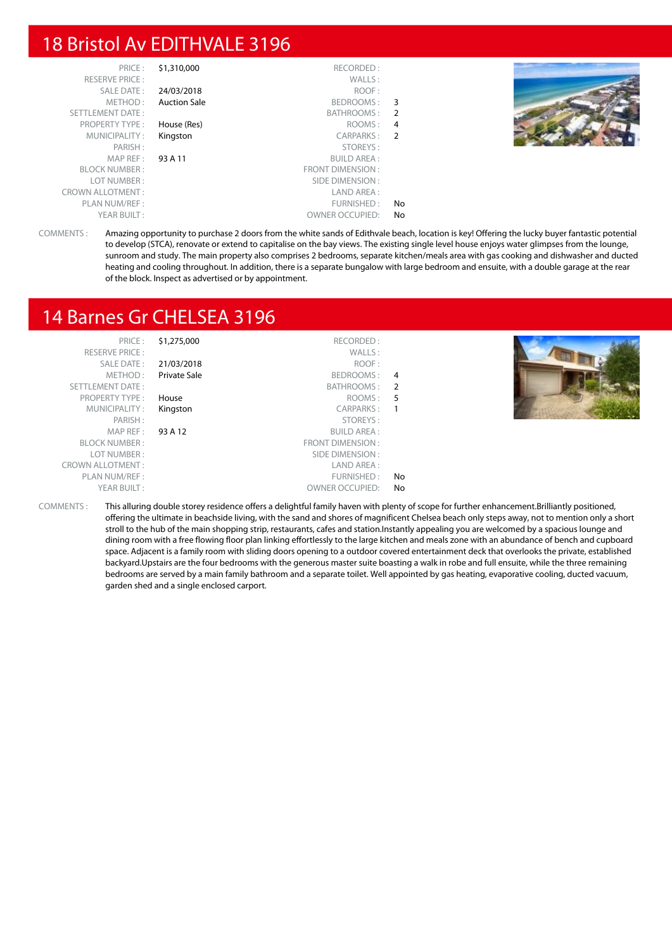# 18 Bristol Av EDITHVALE 3196

| PRICE:<br><b>RESERVE PRICE:</b> | \$1,310,000         | RECORDED:<br>WALLS:    |     |  |
|---------------------------------|---------------------|------------------------|-----|--|
| SALE DATE:                      | 24/03/2018          | ROOF:                  |     |  |
| METHOD:                         | <b>Auction Sale</b> | BEDROOMS: 3            |     |  |
| SETTLEMENT DATE:                |                     | BATHROOMS: 2           |     |  |
| <b>PROPERTY TYPE:</b>           | House (Res)         | ROOMS :                | 4   |  |
| MUNICIPALITY:                   | Kingston            | CARPARKS: 2            |     |  |
| PARISH:                         |                     | STOREYS:               |     |  |
| MAPREF:                         | 93 A 11             | <b>BUILD AREA:</b>     |     |  |
| <b>BLOCK NUMBER:</b>            |                     | FRONT DIMENSION :      |     |  |
| LOT NUMBER:                     |                     | SIDE DIMENSION :       |     |  |
| <b>CROWN ALLOTMENT:</b>         |                     | LAND AREA :            |     |  |
| PLAN NUM/REF :                  |                     | FURNISHED:             | No  |  |
| YEAR BUILT:                     |                     | <b>OWNER OCCUPIED:</b> | No. |  |

COMMENTS : Amazing opportunity to purchase 2 doors from the white sands of Edithvale beach, location is key! Offering the lucky buyer fantastic potential to develop (STCA), renovate or extend to capitalise on the bay views. The existing single level house enjoys water glimpses from the lounge, sunroom and study. The main property also comprises 2 bedrooms, separate kitchen/meals area with gas cooking and dishwasher and ducted heating and cooling throughout. In addition, there is a separate bungalow with large bedroom and ensuite, with a double garage at the rear of the block. Inspect as advertised or by appointment.

# 14 Barnes Gr CHELSEA 3196

| PRICE:                  | \$1,275,000  | RECORDED:              |                |  |
|-------------------------|--------------|------------------------|----------------|--|
| <b>RESERVE PRICE:</b>   |              | WALLS:                 |                |  |
| SALE DATE:              | 21/03/2018   | ROOF:                  |                |  |
| METHOD:                 | Private Sale | BEDROOMS:              | $\overline{4}$ |  |
| <b>SETTLEMENT DATE:</b> |              | BATHROOMS:             | $\overline{2}$ |  |
| <b>PROPERTY TYPE:</b>   | House        | ROOMS: 5               |                |  |
| MUNICIPALITY:           | Kingston     | CARPARKS:              |                |  |
| PARISH:                 |              | STOREYS:               |                |  |
| MAP REF:                | 93 A 12      | <b>BUILD AREA:</b>     |                |  |
| <b>BLOCK NUMBER:</b>    |              | FRONT DIMENSION:       |                |  |
| LOT NUMBER:             |              | SIDE DIMENSION :       |                |  |
| <b>CROWN ALLOTMENT:</b> |              | LAND AREA:             |                |  |
| PLAN NUM/REF:           |              | FURNISHED:             | No             |  |
| YEAR BUILT:             |              | <b>OWNER OCCUPIED:</b> | No             |  |
|                         |              |                        |                |  |

COMMENTS : This alluring double storey residence offers a delightful family haven with plenty of scope for further enhancement.Brilliantly positioned, offering the ultimate in beachside living, with the sand and shores of magnificent Chelsea beach only steps away, not to mention only a short stroll to the hub of the main shopping strip, restaurants, cafes and station.Instantly appealing you are welcomed by a spacious lounge and dining room with a free flowing floor plan linking effortlessly to the large kitchen and meals zone with an abundance of bench and cupboard space. Adjacent is a family room with sliding doors opening to a outdoor covered entertainment deck that overlooks the private, established backyard.Upstairs are the four bedrooms with the generous master suite boasting a walk in robe and full ensuite, while the three remaining bedrooms are served by a main family bathroom and a separate toilet. Well appointed by gas heating, evaporative cooling, ducted vacuum, garden shed and a single enclosed carport.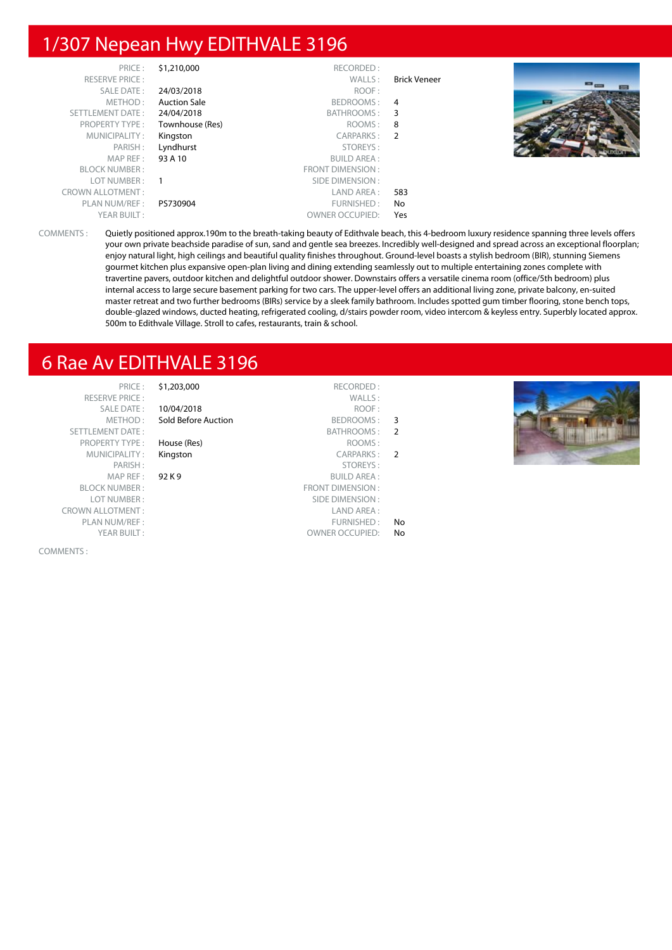# 1/307 Nepean Hwy EDITHVALE 3196

| PRICE:                  | \$1,210,000         | RECORDED:              |                     |       |
|-------------------------|---------------------|------------------------|---------------------|-------|
| <b>RESERVE PRICE:</b>   |                     | WALLS:                 | <b>Brick Veneer</b> | $= -$ |
| SALE DATE:              | 24/03/2018          | ROOF:                  |                     |       |
| METHOD:                 | <b>Auction Sale</b> | BEDROOMS: 4            |                     |       |
| SETTLEMENT DATE:        | 24/04/2018          | BATHROOMS: 3           |                     |       |
| PROPERTY TYPE:          | Townhouse (Res)     | ROOMS:                 | 8                   |       |
| MUNICIPALITY:           | Kingston            | CARPARKS: 2            |                     |       |
| PARISH:                 | Lyndhurst           | STOREYS:               |                     |       |
| MAP REF :               | 93 A 10             | <b>BUILD AREA:</b>     |                     |       |
| <b>BLOCK NUMBER:</b>    |                     | FRONT DIMENSION:       |                     |       |
| LOT NUMBER:             |                     | SIDE DIMENSION :       |                     |       |
| <b>CROWN ALLOTMENT:</b> |                     | LAND AREA :            | 583                 |       |
| PLAN NUM/REF:           | PS730904            | FURNISHED:             | No                  |       |
| YEAR BUILT:             |                     | <b>OWNER OCCUPIED:</b> | Yes                 |       |

COMMENTS : Quietly positioned approx.190m to the breath-taking beauty of Edithvale beach, this 4-bedroom luxury residence spanning three levels offers your own private beachside paradise of sun, sand and gentle sea breezes. Incredibly well-designed and spread across an exceptional floorplan; enjoy natural light, high ceilings and beautiful quality finishes throughout. Ground-level boasts a stylish bedroom (BIR), stunning Siemens gourmet kitchen plus expansive open-plan living and dining extending seamlessly out to multiple entertaining zones complete with travertine pavers, outdoor kitchen and delightful outdoor shower. Downstairs offers a versatile cinema room (office/5th bedroom) plus internal access to large secure basement parking for two cars. The upper-level offers an additional living zone, private balcony, en-suited master retreat and two further bedrooms (BIRs) service by a sleek family bathroom. Includes spotted gum timber flooring, stone bench tops, double-glazed windows, ducted heating, refrigerated cooling, d/stairs powder room, video intercom & keyless entry. Superbly located approx. 500m to Edithvale Village. Stroll to cafes, restaurants, train & school.

# 6 Rae Av EDITHVALE 3196

SETTLEMENT DATE: PROPERTY TYPE : House (Res) MUNICIPALITY : Kingston PARISH: MAP REF : 92 K BLOCK NUMBER : LOT NUMBER : CROWN ALLOTMENT : PLAN NUM/REF : YEAR BUILT:

COMMENTS :

PRICE : \$1,203,000 RECORDED : RESERVE PRICE : WALLS : SALE DATE: 10/04/2018 METHOD: Sold Before Auction

- 
- 

|                | ROOF:                  |
|----------------|------------------------|
| 3              | BEDROOMS:              |
| $\overline{2}$ | BATHROOMS:             |
|                | ROOMS:                 |
| 2              | <b>CARPARKS:</b>       |
|                | STOREYS:               |
|                | <b>BUILD AREA:</b>     |
|                | FRONT DIMENSION :      |
|                | SIDE DIMENSION:        |
|                | I AND ARFA :           |
| No             | FURNISHED:             |
| No             | <b>OWNER OCCUPIED:</b> |

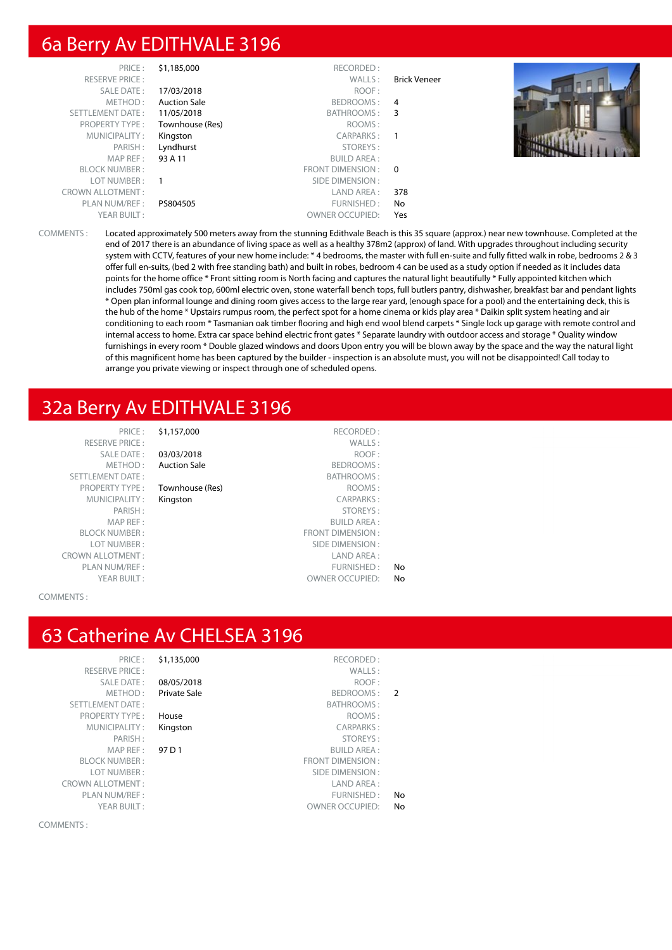# 6a Berry Av EDITHVALE 3196

| PRICE:                  | \$1,185,000         | RECORDED:              |              |  |
|-------------------------|---------------------|------------------------|--------------|--|
| <b>RESERVE PRICE:</b>   |                     | WALLS:                 | Brick Veneer |  |
| <b>SALE DATE:</b>       | 17/03/2018          | ROOF:                  |              |  |
| METHOD:                 | <b>Auction Sale</b> | BEDROOMS: 4            |              |  |
| <b>SETTLEMENT DATE:</b> | 11/05/2018          | <b>BATHROOMS:</b>      | 3            |  |
| <b>PROPERTY TYPE:</b>   | Townhouse (Res)     | ROOMS:                 |              |  |
| MUNICIPALITY:           | Kingston            | CARPARKS:              |              |  |
| PARISH:                 | Lyndhurst           | STOREYS:               |              |  |
| MAP REF :               | 93 A 11             | <b>BUILD AREA:</b>     |              |  |
| <b>BLOCK NUMBER:</b>    |                     | FRONT DIMENSION: 0     |              |  |
| LOT NUMBER:             |                     | SIDE DIMENSION :       |              |  |
| <b>CROWN ALLOTMENT:</b> |                     | LAND AREA :            | 378          |  |
| PLAN NUM/REF:           | PS804505            | FURNISHED:             | No           |  |
| YEAR BUILT:             |                     | <b>OWNER OCCUPIED:</b> | Yes          |  |

COMMENTS : Located approximately 500 meters away from the stunning Edithvale Beach is this 35 square (approx.) near new townhouse. Completed at the end of 2017 there is an abundance of living space as well as a healthy 378m2 (approx) of land. With upgrades throughout including security system with CCTV, features of your new home include: \* 4 bedrooms, the master with full en-suite and fully fitted walk in robe, bedrooms 2 & 3 offer full en-suits, (bed 2 with free standing bath) and built in robes, bedroom 4 can be used as a study option if needed as it includes data points for the home office \* Front sitting room is North facing and captures the natural light beautifully \* Fully appointed kitchen which includes 750ml gas cook top, 600ml electric oven, stone waterfall bench tops, full butlers pantry, dishwasher, breakfast bar and pendant lights \* Open plan informal lounge and dining room gives access to the large rear yard, (enough space for a pool) and the entertaining deck, this is the hub of the home \* Upstairs rumpus room, the perfect spot for a home cinema or kids play area \* Daikin split system heating and air conditioning to each room \* Tasmanian oak timber flooring and high end wool blend carpets \* Single lock up garage with remote control and internal access to home. Extra car space behind electric front gates \* Separate laundry with outdoor access and storage \* Quality window furnishings in every room \* Double glazed windows and doors Upon entry you will be blown away by the space and the way the natural light of this magnificent home has been captured by the builder - inspection is an absolute must, you will not be disappointed! Call today to arrange you private viewing or inspect through one of scheduled opens.

#### 32a Berry Av EDITHVALE 3196

PRICE: \$1,157,000 RECORDED: RESERVE PRICE : WALLS : YEAR RUILT :  $\overline{O}$  OWNER OCCUPIED: No

SALE DATE: 03/03/2018 ROOF:

Townhouse (Res)

METHOD : Auction Sale BEDROOMS : SETTLEMENT DATE :<br>
PROPERTY TYPE : **Townhouse (Res)** BATHROOMS : **BATHROOMS** : MUNICIPALITY : **Kingston** CARPARKS :<br>PARISH : PARISH : STOREYS : STOREYS: MAP REF : BUILD AREA : BLOCK NUMBER : FRONT DIMENSION : LOT NUMBER : SIDE DIMENSION : CROWN ALLOTMENT : LAND AREA : PLAN NUM/REF :  $\blacksquare$ 

COMMENTS :

#### 63 Catherine Av CHELSEA 3196

PRICE: \$1,135,00 RESERVE PRICE : SALE DATE :  $08/05/20$ METHOD : Private Sa SETTLEMENT DATE: PROPERTY TYPE : House MUNICIPALITY: Kingston MAP REF : 97 D 1 BLOCK NUMBER: LOT NUMBER: CROWN ALLOTMENT ·

COMMENTS :

|               | RECORDED:               | \$1,135,000         | PRICE:                |
|---------------|-------------------------|---------------------|-----------------------|
|               | WALLS:                  |                     | <b>RESERVE PRICE:</b> |
|               | ROOF:                   | 08/05/2018          | <b>SALE DATE:</b>     |
| $\mathcal{P}$ | BEDROOMS:               | <b>Private Sale</b> | METHOD:               |
|               | BATHROOMS:              |                     | <b>TTLEMENT DATE:</b> |
|               | ROOMS:                  | House               | <b>PROPERTY TYPE:</b> |
|               | <b>CARPARKS:</b>        | Kingston            | MUNICIPALITY:         |
|               | STOREYS:                |                     | PARISH:               |
|               | <b>BUILD AREA:</b>      | 97 D 1              | MAP RFF:              |
|               | <b>FRONT DIMENSION:</b> |                     | <b>BLOCK NUMBER:</b>  |
|               | SIDE DIMENSION :        |                     | LOT NUMBER:           |
|               | LAND AREA:              |                     | WN ALLOTMENT:         |
| No            | FURNISHED:              |                     | PLAN NUM/REF :        |
| No            | <b>OWNER OCCUPIED:</b>  |                     | YEAR BUILT:           |
|               |                         |                     |                       |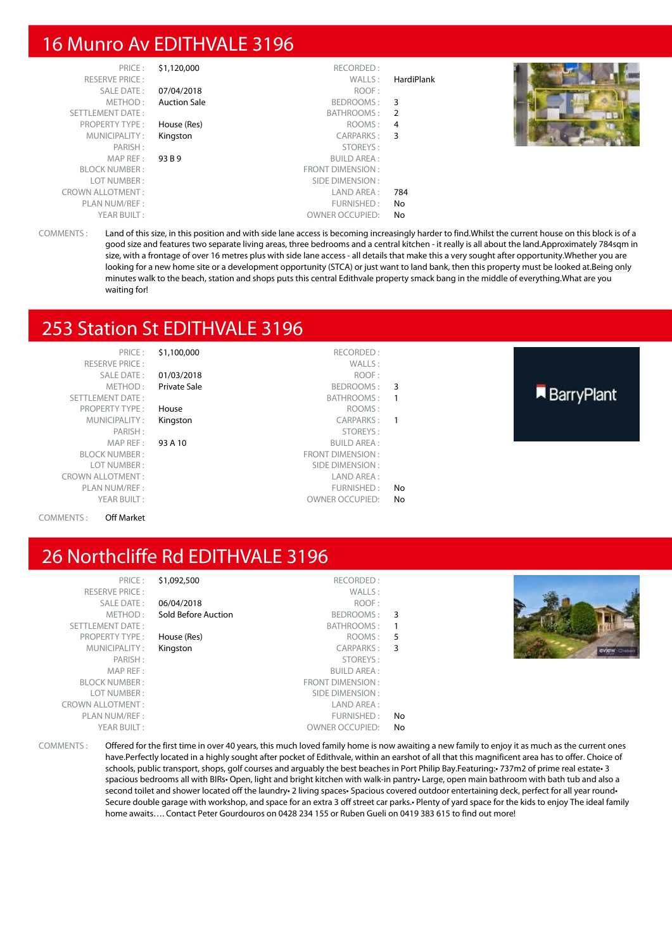# 16 Munro Av EDITHVALE 3196

| PRICE:                  | \$1,120,000         | RECORDED:              |            |  |
|-------------------------|---------------------|------------------------|------------|--|
| <b>RESERVE PRICE:</b>   |                     | WALLS:                 | HardiPlank |  |
| SALE DATE:              | 07/04/2018          | ROOF:                  |            |  |
| METHOD:                 | <b>Auction Sale</b> | BEDROOMS:              | 3          |  |
| SETTLEMENT DATE:        |                     | BATHROOMS: 2           |            |  |
| <b>PROPERTY TYPE:</b>   | House (Res)         | ROOMS:                 | 4          |  |
| MUNICIPALITY:           | Kingston            | CARPARKS:              | 3          |  |
| PARISH:                 |                     | STOREYS:               |            |  |
| MAP REF :               | 93 B 9              | <b>BUILD AREA:</b>     |            |  |
| <b>BLOCK NUMBER:</b>    |                     | FRONT DIMENSION:       |            |  |
| LOT NUMBER :            |                     | SIDE DIMENSION :       |            |  |
| <b>CROWN ALLOTMENT:</b> |                     | LAND AREA :            | 784        |  |
| PLAN NUM/REF :          |                     | FURNISHED:             | No.        |  |
| YEAR BUILT:             |                     | <b>OWNER OCCUPIED:</b> | No         |  |

COMMENTS : Land of this size, in this position and with side lane access is becoming increasingly harder to find.Whilst the current house on this block is of a good size and features two separate living areas, three bedrooms and a central kitchen - it really is all about the land.Approximately 784sqm in size, with a frontage of over 16 metres plus with side lane access - all details that make this a very sought after opportunity.Whether you are looking for a new home site or a development opportunity (STCA) or just want to land bank, then this property must be looked at.Being only minutes walk to the beach, station and shops puts this central Edithvale property smack bang in the middle of everything.What are you waiting for!

#### 253 Station St EDITHVALE 3196

| PRICE:                  | \$1,100,000         | RECORDED:              |                |                   |
|-------------------------|---------------------|------------------------|----------------|-------------------|
| <b>RESERVE PRICE:</b>   |                     | WALLS:                 |                |                   |
| SALE DATE:              | 01/03/2018          | ROOF:                  |                |                   |
| METHOD:                 | <b>Private Sale</b> | BEDROOMS: 3            |                |                   |
| SETTLEMENT DATE:        |                     | BATHROOMS:             | $\overline{1}$ | <b>BarryPlant</b> |
| <b>PROPERTY TYPE:</b>   | House               | ROOMS:                 |                |                   |
| MUNICIPALITY:           | Kingston            | CARPARKS:              | $\overline{1}$ |                   |
| PARISH:                 |                     | STOREYS:               |                |                   |
| MAP REF :               | 93 A 10             | <b>BUILD AREA:</b>     |                |                   |
| <b>BLOCK NUMBER:</b>    |                     | FRONT DIMENSION:       |                |                   |
| LOT NUMBER:             |                     | SIDE DIMENSION :       |                |                   |
| <b>CROWN ALLOTMENT:</b> |                     | LAND AREA:             |                |                   |
| PLAN NUM/REF:           |                     | FURNISHED:             | No             |                   |
| YEAR BUILT:             |                     | <b>OWNER OCCUPIED:</b> | No.            |                   |
|                         |                     |                        |                |                   |

#### COMMENTS : Off Market

# 26 Northcliffe Rd EDITHVALE 3196

| PRICE:                                                                              | \$1,092,500         | RECORDED:              |     |                                                                                                                                                                                                                                                    |
|-------------------------------------------------------------------------------------|---------------------|------------------------|-----|----------------------------------------------------------------------------------------------------------------------------------------------------------------------------------------------------------------------------------------------------|
| <b>RESERVE PRICE:</b>                                                               |                     | WALLS:                 |     |                                                                                                                                                                                                                                                    |
| SALE DATE:                                                                          | 06/04/2018          | ROOF:                  |     |                                                                                                                                                                                                                                                    |
| METHOD:                                                                             | Sold Before Auction | BEDROOMS: 3            |     |                                                                                                                                                                                                                                                    |
| SETTLEMENT DATE:                                                                    |                     | BATHROOMS:             |     |                                                                                                                                                                                                                                                    |
| <b>PROPERTY TYPE:</b>                                                               | House (Res)         | ROOMS: 5               |     |                                                                                                                                                                                                                                                    |
| MUNICIPALITY:                                                                       | Kingston            | CARPARKS:              | 3   | <b>EVIEW Chines</b>                                                                                                                                                                                                                                |
| PARISH:                                                                             |                     | STOREYS:               |     |                                                                                                                                                                                                                                                    |
| MAP REF :                                                                           |                     | BUILD AREA :           |     |                                                                                                                                                                                                                                                    |
| <b>BLOCK NUMBER:</b>                                                                |                     | FRONT DIMENSION:       |     |                                                                                                                                                                                                                                                    |
| LOT NUMBER:                                                                         |                     | SIDE DIMENSION :       |     |                                                                                                                                                                                                                                                    |
| <b>CROWN ALLOTMENT:</b>                                                             |                     | LAND AREA :            |     |                                                                                                                                                                                                                                                    |
| PLAN NUM/REF :                                                                      |                     | FURNISHED:             | No  |                                                                                                                                                                                                                                                    |
| YEAR BUILT:                                                                         |                     | <b>OWNER OCCUPIED:</b> | No. |                                                                                                                                                                                                                                                    |
| $C$ $\bigcap$ $\bigcap$ $\bigcap$ $\bigcap$ $\bigcap$ $\bigcap$ $\bigcap$ $\bigcap$ |                     |                        |     | $\overline{O}(C+1)$ and $\overline{O}(C+1)$ and $\overline{O}(C+1)$ . The contract of the contract of the contract of the contract of the contract of the contract of the contract of the contract of the contract of the contract of the contract |

COMMENTS : Offered for the first time in over 40 years, this much loved family home is now awaiting a new family to enjoy it as much as the current ones have.Perfectly located in a highly sought after pocket of Edithvale, within an earshot of all that this magnificent area has to offer. Choice of schools, public transport, shops, golf courses and arguably the best beaches in Port Philip Bay.Featuring:• 737m2 of prime real estate• 3 spacious bedrooms all with BIRs• Open, light and bright kitchen with walk-in pantry• Large, open main bathroom with bath tub and also a second toilet and shower located off the laundry• 2 living spaces• Spacious covered outdoor entertaining deck, perfect for all year round• Secure double garage with workshop, and space for an extra 3 off street car parks.• Plenty of yard space for the kids to enjoy The ideal family home awaits…. Contact Peter Gourdouros on 0428 234 155 or Ruben Gueli on 0419 383 615 to find out more!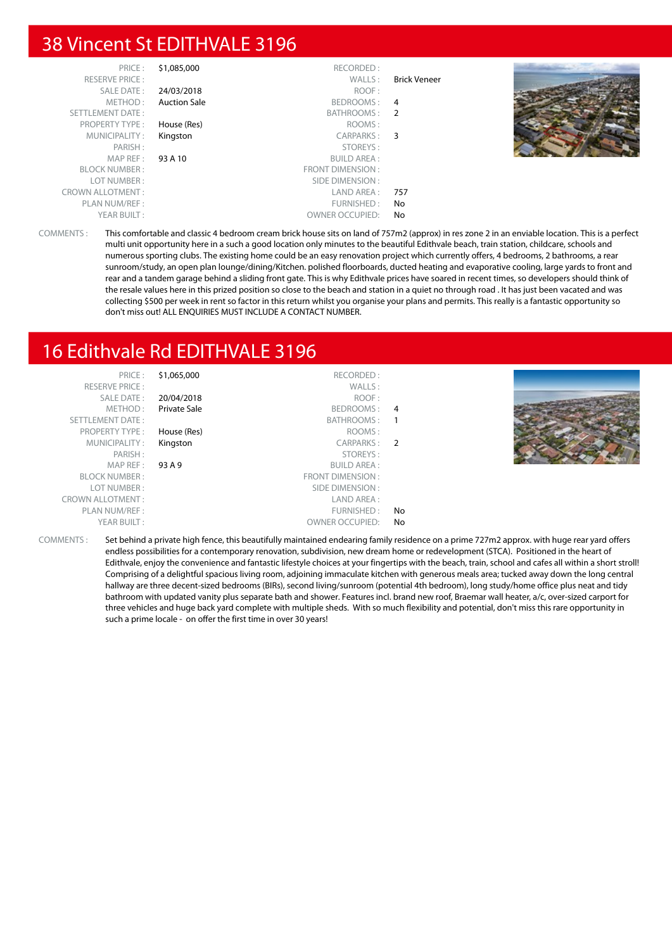# 38 Vincent St EDITHVALE 3196

| PRICE:<br><b>RESERVE PRICE:</b> | \$1,085,000         | RECORDED:<br>WALLS:    | <b>Brick Veneer</b> |  |
|---------------------------------|---------------------|------------------------|---------------------|--|
| SALE DATE:                      | 24/03/2018          | ROOF:                  |                     |  |
| METHOD:                         | <b>Auction Sale</b> | BEDROOMS: 4            |                     |  |
| SETTLEMENT DATE:                |                     | BATHROOMS: 2           |                     |  |
| <b>PROPERTY TYPE:</b>           | House (Res)         | ROOMS:                 |                     |  |
| MUNICIPALITY:                   | Kingston            | CARPARKS: 3            |                     |  |
| PARISH:                         |                     | STOREYS:               |                     |  |
| MAPREF:                         | 93 A 10             | <b>BUILD AREA:</b>     |                     |  |
| <b>BLOCK NUMBER:</b>            |                     | FRONT DIMENSION:       |                     |  |
| LOT NUMBER:                     |                     | SIDE DIMENSION :       |                     |  |
| <b>CROWN ALLOTMENT:</b>         |                     | LAND AREA :            | 757                 |  |
| PLAN NUM/REF :                  |                     | FURNISHED:             | No                  |  |
| YEAR BUILT:                     |                     | <b>OWNER OCCUPIED:</b> | No                  |  |

COMMENTS : This comfortable and classic 4 bedroom cream brick house sits on land of 757m2 (approx) in res zone 2 in an enviable location. This is a perfect multi unit opportunity here in a such a good location only minutes to the beautiful Edithvale beach, train station, childcare, schools and numerous sporting clubs. The existing home could be an easy renovation project which currently offers, 4 bedrooms, 2 bathrooms, a rear sunroom/study, an open plan lounge/dining/Kitchen. polished floorboards, ducted heating and evaporative cooling, large yards to front and rear and a tandem garage behind a sliding front gate. This is why Edithvale prices have soared in recent times, so developers should think of the resale values here in this prized position so close to the beach and station in a quiet no through road . It has just been vacated and was collecting \$500 per week in rent so factor in this return whilst you organise your plans and permits. This really is a fantastic opportunity so don't miss out! ALL ENQUIRIES MUST INCLUDE A CONTACT NUMBER.

# 16 Edithvale Rd EDITHVALE 3196



COMMENTS : Set behind a private high fence, this beautifully maintained endearing family residence on a prime 727m2 approx. with huge rear yard offers endless possibilities for a contemporary renovation, subdivision, new dream home or redevelopment (STCA). Positioned in the heart of Edithvale, enjoy the convenience and fantastic lifestyle choices at your fingertips with the beach, train, school and cafes all within a short stroll! Comprising of a delightful spacious living room, adjoining immaculate kitchen with generous meals area; tucked away down the long central hallway are three decent-sized bedrooms (BIRs), second living/sunroom (potential 4th bedroom), long study/home office plus neat and tidy bathroom with updated vanity plus separate bath and shower. Features incl. brand new roof, Braemar wall heater, a/c, over-sized carport for three vehicles and huge back yard complete with multiple sheds. With so much flexibility and potential, don't miss this rare opportunity in such a prime locale - on offer the first time in over 30 years!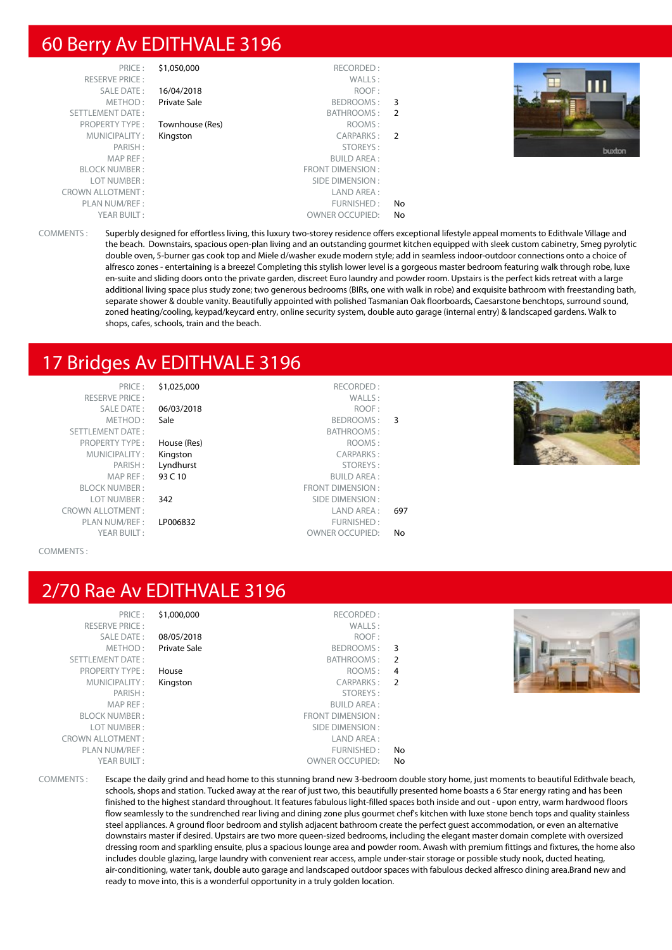#### 60 Berry Av EDITHVALE 3196

| PRICE:                  | \$1,050,000     | RECORDED:               |               |
|-------------------------|-----------------|-------------------------|---------------|
| <b>RESERVE PRICE:</b>   |                 | WALLS:                  |               |
| SALE DATE:              | 16/04/2018      | ROOF:                   |               |
| METHOD:                 | Private Sale    | BEDROOMS:               | 3             |
| <b>SETTLEMENT DATE:</b> |                 | BATHROOMS:              | 2             |
| <b>PROPERTY TYPE:</b>   | Townhouse (Res) | ROOMS:                  |               |
| MUNICIPALITY:           | Kingston        | CARPARKS:               | $\mathcal{P}$ |
| PARISH:                 |                 | STOREYS:                |               |
| MAP REF:                |                 | <b>BUILD AREA:</b>      |               |
| <b>BLOCK NUMBER:</b>    |                 | <b>FRONT DIMENSION:</b> |               |
| LOT NUMBER:             |                 | SIDE DIMENSION:         |               |
| <b>CROWN ALLOTMENT:</b> |                 | LAND AREA:              |               |
| PLAN NUM/REF:           |                 | FURNISHED:              | No            |
| YEAR BUILT:             |                 | <b>OWNER OCCUPIED:</b>  | No            |



COMMENTS : Superbly designed for effortless living, this luxury two-storey residence offers exceptional lifestyle appeal moments to Edithvale Village and the beach. Downstairs, spacious open-plan living and an outstanding gourmet kitchen equipped with sleek custom cabinetry, Smeg pyrolytic double oven, 5-burner gas cook top and Miele d/washer exude modern style; add in seamless indoor-outdoor connections onto a choice of alfresco zones - entertaining is a breeze! Completing this stylish lower level is a gorgeous master bedroom featuring walk through robe, luxe en-suite and sliding doors onto the private garden, discreet Euro laundry and powder room. Upstairs is the perfect kids retreat with a large additional living space plus study zone; two generous bedrooms (BIRs, one with walk in robe) and exquisite bathroom with freestanding bath, separate shower & double vanity. Beautifully appointed with polished Tasmanian Oak floorboards, Caesarstone benchtops, surround sound, zoned heating/cooling, keypad/keycard entry, online security system, double auto garage (internal entry) & landscaped gardens. Walk to shops, cafes, schools, train and the beach.

FRONT DIMENSION :

# 17 Bridges Av EDITHVALE 3196

PRICE : \$1,025,000 RECORDED : RESERVE PRICE : WALLS : SETTLEMENT DATE : BATHROOMS : PROPERTY TYPE : **House (Res)** ROOMS : MUNICIPALITY : **Kingston CARPARKS** : MAP REF : **93 C 10** BUILD AREA :<br>BLOCK NUMBER : **62 C 10** BUILD AREA : **FRONT DIMENSION** : LOT NUMBER : 342 SIDE DIMENSION :<br>
VALLOTMENT : SALLOTMENT : SALLOTMENT : SALLOTMENT : SALLOTMENT : SALLOTMENT : SALLOTMENT : SALLOTMENT : SALLO CROWN ALLOTMENT : LAND AREA : 697 PLAN NUM/REF : LP006832 FURNISHED : YEAR BUILT : OWNER OCCUPIED: No

SALE DATE : 06/03/2018 ROOF : METHOD : Sale BEDROOMS : 3 PARISH : **Lyndhurst** STOREYS :<br>
MAP RFF : **93 C 10** SUILD AREA :

#### COMMENTS :

#### 2/70 Rae Av EDITHVALE 3196

|               | \$1,000,000<br>RECORDED:  | PRICE:                  |
|---------------|---------------------------|-------------------------|
|               | WALLS:                    | <b>RESERVE PRICE:</b>   |
|               | 08/05/2018<br>ROOF:       | <b>SALE DATE:</b>       |
| 3             | Private Sale<br>BEDROOMS: | METHOD:                 |
| $\mathcal{P}$ | <b>BATHROOMS:</b>         | <b>SETTLEMENT DATE:</b> |
| 4             | ROOMS:<br>House           | <b>PROPERTY TYPE:</b>   |
| $\mathcal{P}$ | CARPARKS:<br>Kingston     | MUNICIPALITY:           |
|               | STOREYS:                  | PARISH:                 |
|               | <b>BUILD AREA:</b>        | MAP REF:                |
|               | <b>FRONT DIMENSION:</b>   | <b>BLOCK NUMBER:</b>    |
|               | SIDE DIMENSION:           | LOT NUMBER:             |
|               | LAND AREA:                | <b>CROWN ALLOTMENT:</b> |
| No            | FURNISHED:                | PLAN NUM/REF :          |
| No            | <b>OWNER OCCUPIED:</b>    | YEAR BUILT:             |

|  |  | COMMENTS : |  |  |
|--|--|------------|--|--|
|  |  |            |  |  |

Escape the daily grind and head home to this stunning brand new 3-bedroom double story home, just moments to beautiful Edithvale beach, schools, shops and station. Tucked away at the rear of just two, this beautifully presented home boasts a 6 Star energy rating and has been finished to the highest standard throughout. It features fabulous light-filled spaces both inside and out - upon entry, warm hardwood floors flow seamlessly to the sundrenched rear living and dining zone plus gourmet chef's kitchen with luxe stone bench tops and quality stainless steel appliances. A ground floor bedroom and stylish adjacent bathroom create the perfect guest accommodation, or even an alternative downstairs master if desired. Upstairs are two more queen-sized bedrooms, including the elegant master domain complete with oversized dressing room and sparkling ensuite, plus a spacious lounge area and powder room. Awash with premium fittings and fixtures, the home also includes double glazing, large laundry with convenient rear access, ample under-stair storage or possible study nook, ducted heating, air-conditioning, water tank, double auto garage and landscaped outdoor spaces with fabulous decked alfresco dining area.Brand new and ready to move into, this is a wonderful opportunity in a truly golden location.

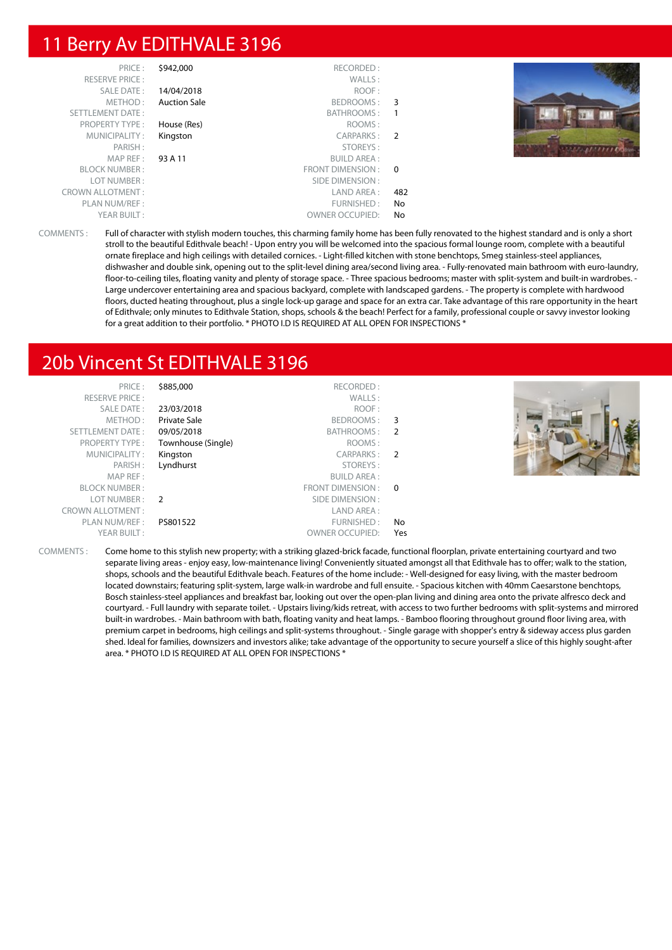#### 11 Berry Av EDITHVALE 3196

| PRICE:                  | \$942,000           | RECORDED:              |                |  |
|-------------------------|---------------------|------------------------|----------------|--|
| RESERVE PRICE:          |                     | WALLS:                 |                |  |
| <b>SALE DATE:</b>       | 14/04/2018          | ROOF:                  |                |  |
| METHOD:                 | <b>Auction Sale</b> | BEDROOMS:              | $\overline{3}$ |  |
| SETTLEMENT DATE:        |                     | BATHROOMS:             |                |  |
| <b>PROPERTY TYPE:</b>   | House (Res)         | ROOMS:                 |                |  |
| MUNICIPALITY:           | Kingston            | CARPARKS:              | - 2            |  |
| PARISH:                 |                     | STOREYS:               |                |  |
| MAPREF:                 | 93 A 11             | <b>BUILD AREA:</b>     |                |  |
| <b>BLOCK NUMBER:</b>    |                     | FRONT DIMENSION :      | $\Omega$       |  |
| LOT NUMBER:             |                     | SIDE DIMENSION :       |                |  |
| <b>CROWN ALLOTMENT:</b> |                     | LAND AREA :            | 482            |  |
| PLAN NUM/REF :          |                     | FURNISHED:             | No             |  |
| YEAR BUILT:             |                     | <b>OWNER OCCUPIED:</b> | No             |  |

COMMENTS : Full of character with stylish modern touches, this charming family home has been fully renovated to the highest standard and is only a short stroll to the beautiful Edithvale beach! - Upon entry you will be welcomed into the spacious formal lounge room, complete with a beautiful ornate fireplace and high ceilings with detailed cornices. - Light-filled kitchen with stone benchtops, Smeg stainless-steel appliances, dishwasher and double sink, opening out to the split-level dining area/second living area. - Fully-renovated main bathroom with euro-laundry, floor-to-ceiling tiles, floating vanity and plenty of storage space. - Three spacious bedrooms; master with split-system and built-in wardrobes. Large undercover entertaining area and spacious backyard, complete with landscaped gardens. - The property is complete with hardwood floors, ducted heating throughout, plus a single lock-up garage and space for an extra car. Take advantage of this rare opportunity in the heart of Edithvale; only minutes to Edithvale Station, shops, schools & the beach! Perfect for a family, professional couple or savvy investor looking for a great addition to their portfolio. \* PHOTO I.D IS REQUIRED AT ALL OPEN FOR INSPECTIONS \*

# 20b Vincent St EDITHVALE 3196

| PRICE:                  | \$885,000           | RECORDED:              |     |  |
|-------------------------|---------------------|------------------------|-----|--|
| <b>RESERVE PRICE:</b>   |                     | WALLS:                 |     |  |
| <b>SALE DATE:</b>       | 23/03/2018          | ROOF:                  |     |  |
| METHOD:                 | <b>Private Sale</b> | BEDROOMS: 3            |     |  |
| SETTLEMENT DATE:        | 09/05/2018          | BATHROOMS: 2           |     |  |
| <b>PROPERTY TYPE:</b>   | Townhouse (Single)  | ROOMS:                 |     |  |
| MUNICIPALITY:           | Kingston            | CARPARKS: 2            |     |  |
| PARISH:                 | Lyndhurst           | STOREYS:               |     |  |
| MAP REF:                |                     | <b>BUILD AREA:</b>     |     |  |
| <b>BLOCK NUMBER:</b>    |                     | FRONT DIMENSION : 0    |     |  |
| LOT NUMBER :            | $\overline{2}$      | SIDE DIMENSION :       |     |  |
| <b>CROWN ALLOTMENT:</b> |                     | LAND AREA:             |     |  |
| PLAN NUM/REF:           | PS801522            | FURNISHED:             | No. |  |
| YEAR BUILT:             |                     | <b>OWNER OCCUPIED:</b> | Yes |  |

COMMENTS : Come home to this stylish new property; with a striking glazed-brick facade, functional floorplan, private entertaining courtyard and two separate living areas - enjoy easy, low-maintenance living! Conveniently situated amongst all that Edithvale has to offer; walk to the station, shops, schools and the beautiful Edithvale beach. Features of the home include: - Well-designed for easy living, with the master bedroom located downstairs; featuring split-system, large walk-in wardrobe and full ensuite. - Spacious kitchen with 40mm Caesarstone benchtops, Bosch stainless-steel appliances and breakfast bar, looking out over the open-plan living and dining area onto the private alfresco deck and courtyard. - Full laundry with separate toilet. - Upstairs living/kids retreat, with access to two further bedrooms with split-systems and mirrored built-in wardrobes. - Main bathroom with bath, floating vanity and heat lamps. - Bamboo flooring throughout ground floor living area, with premium carpet in bedrooms, high ceilings and split-systems throughout. - Single garage with shopper's entry & sideway access plus garden shed. Ideal for families, downsizers and investors alike; take advantage of the opportunity to secure yourself a slice of this highly sought-after area. \* PHOTO I.D IS REQUIRED AT ALL OPEN FOR INSPECTIONS \*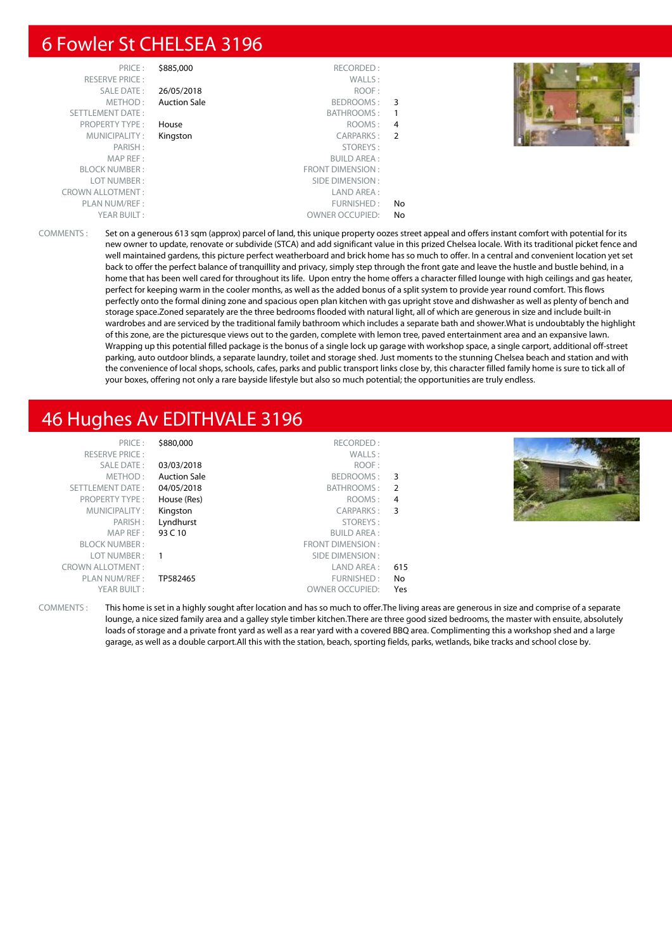## 6 Fowler St CHELSEA 3196

| PRICE:                  | \$885,000           | RECORDED:              |    |  |
|-------------------------|---------------------|------------------------|----|--|
| <b>RESERVE PRICE:</b>   |                     | WALLS:                 |    |  |
| SALE DATE:              | 26/05/2018          | ROOF:                  |    |  |
| METHOD:                 | <b>Auction Sale</b> | BEDROOMS:              | -3 |  |
| SETTLEMENT DATE:        |                     | <b>BATHROOMS:</b>      | 1  |  |
| <b>PROPERTY TYPE:</b>   | House               | ROOMS:                 | 4  |  |
| MUNICIPALITY:           | Kingston            | CARPARKS:              | 2  |  |
| PARISH:                 |                     | STOREYS:               |    |  |
| MAP REF:                |                     | <b>BUILD AREA:</b>     |    |  |
| <b>BLOCK NUMBER:</b>    |                     | FRONT DIMENSION:       |    |  |
| LOT NUMBER:             |                     | SIDE DIMENSION:        |    |  |
| <b>CROWN ALLOTMENT:</b> |                     | LAND AREA:             |    |  |
| PLAN NUM/REF :          |                     | FURNISHED:             | No |  |
| YEAR BUILT:             |                     | <b>OWNER OCCUPIED:</b> | No |  |
|                         |                     |                        |    |  |



COMMENTS : Set on a generous 613 sqm (approx) parcel of land, this unique property oozes street appeal and offers instant comfort with potential for its new owner to update, renovate or subdivide (STCA) and add significant value in this prized Chelsea locale. With its traditional picket fence and well maintained gardens, this picture perfect weatherboard and brick home has so much to offer. In a central and convenient location yet set back to offer the perfect balance of tranquillity and privacy, simply step through the front gate and leave the hustle and bustle behind, in a home that has been well cared for throughout its life. Upon entry the home offers a character filled lounge with high ceilings and gas heater, perfect for keeping warm in the cooler months, as well as the added bonus of a split system to provide year round comfort. This flows perfectly onto the formal dining zone and spacious open plan kitchen with gas upright stove and dishwasher as well as plenty of bench and storage space.Zoned separately are the three bedrooms flooded with natural light, all of which are generous in size and include built-in wardrobes and are serviced by the traditional family bathroom which includes a separate bath and shower.What is undoubtably the highlight of this zone, are the picturesque views out to the garden, complete with lemon tree, paved entertainment area and an expansive lawn. Wrapping up this potential filled package is the bonus of a single lock up garage with workshop space, a single carport, additional off-street parking, auto outdoor blinds, a separate laundry, toilet and storage shed. Just moments to the stunning Chelsea beach and station and with the convenience of local shops, schools, cafes, parks and public transport links close by, this character filled family home is sure to tick all of your boxes, offering not only a rare bayside lifestyle but also so much potential; the opportunities are truly endless.

# 46 Hughes Av EDITHVALE 3196

| PRICE:                  | \$880,000           | RECORDED:              |     |  |
|-------------------------|---------------------|------------------------|-----|--|
| <b>RESERVE PRICE:</b>   |                     | WALLS:                 |     |  |
| SALE DATE:              | 03/03/2018          | ROOF:                  |     |  |
| METHOD:                 | <b>Auction Sale</b> | BEDROOMS: 3            |     |  |
| SETTLEMENT DATE:        | 04/05/2018          | BATHROOMS :            | - 2 |  |
| <b>PROPERTY TYPE:</b>   | House (Res)         | ROOMS:                 | 4   |  |
| MUNICIPALITY:           | Kingston            | CARPARKS:              | 3   |  |
| PARISH:                 | Lyndhurst           | STOREYS:               |     |  |
| MAP REF :               | 93 C 10             | <b>BUILD AREA:</b>     |     |  |
| <b>BLOCK NUMBER:</b>    |                     | FRONT DIMENSION :      |     |  |
| LOT NUMBER:             | - 1                 | SIDE DIMENSION :       |     |  |
| <b>CROWN ALLOTMENT:</b> |                     | LAND AREA :            | 615 |  |
| PLAN NUM/REF :          | TP582465            | FURNISHED:             | No  |  |
| YEAR BUILT:             |                     | <b>OWNER OCCUPIED:</b> | Yes |  |
|                         |                     |                        |     |  |

COMMENTS : This home is set in a highly sought after location and has so much to offer.The living areas are generous in size and comprise of a separate lounge, a nice sized family area and a galley style timber kitchen.There are three good sized bedrooms, the master with ensuite, absolutely loads of storage and a private front yard as well as a rear yard with a covered BBQ area. Complimenting this a workshop shed and a large garage, as well as a double carport.All this with the station, beach, sporting fields, parks, wetlands, bike tracks and school close by.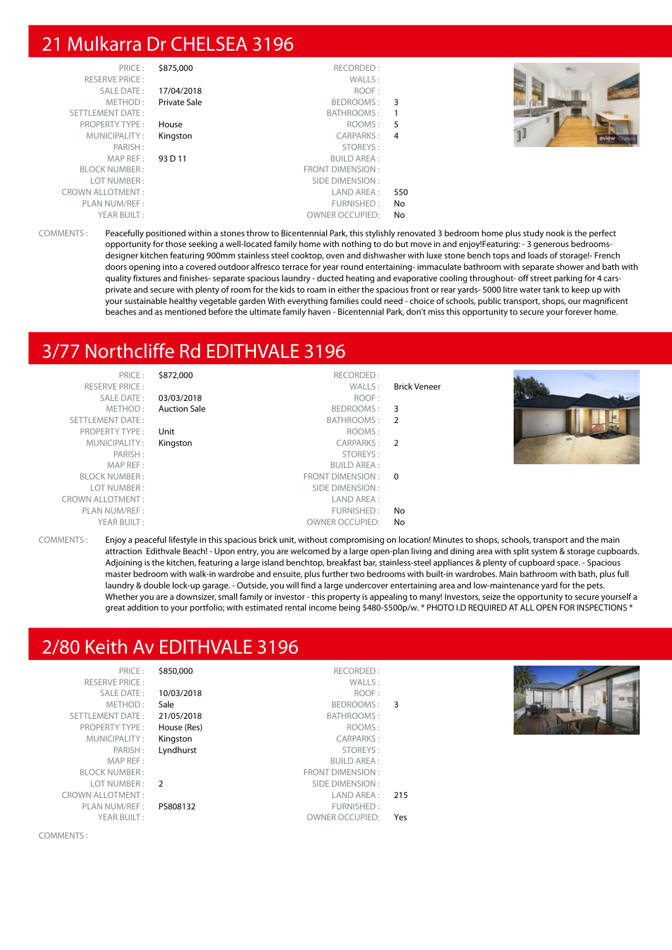# 21 Mulkarra Dr CHELSEA 3196

| PRICE:<br><b>RESERVE PRICE:</b> | \$875,000           | RECORDED:<br>WALLS:    |     |  |
|---------------------------------|---------------------|------------------------|-----|--|
| SALE DATE:                      | 17/04/2018          | ROOF:                  |     |  |
| METHOD:                         | <b>Private Sale</b> | BEDROOMS:              | 3   |  |
| SETTLEMENT DATE:                |                     | BATHROOMS:             |     |  |
| <b>PROPERTY TYPE:</b>           | House               | ROOMS:                 | 5   |  |
| MUNICIPALITY:                   | Kingston            | CARPARKS:              | 4   |  |
| PARISH:                         |                     | STOREYS:               |     |  |
| MAP REF:                        | 93 D 11             | <b>BUILD AREA:</b>     |     |  |
| <b>BLOCK NUMBER:</b>            |                     | FRONT DIMENSION:       |     |  |
| LOT NUMBER:                     |                     | SIDE DIMENSION:        |     |  |
| <b>CROWN ALLOTMENT:</b>         |                     | LAND AREA :            | 550 |  |
| PLAN NUM/REF:                   |                     | FURNISHED:             | No  |  |
| YEAR BUILT:                     |                     | <b>OWNER OCCUPIED:</b> | No  |  |



COMMENTS : Peacefully positioned within a stones throw to Bicentennial Park, this stylishly renovated 3 bedroom home plus study nook is the perfect opportunity for those seeking a well-located family home with nothing to do but move in and enjoy!Featuring: - 3 generous bedroomsdesigner kitchen featuring 900mm stainless steel cooktop, oven and dishwasher with luxe stone bench tops and loads of storage!- French doors opening into a covered outdoor alfresco terrace for year round entertaining- immaculate bathroom with separate shower and bath with quality fixtures and finishes- separate spacious laundry - ducted heating and evaporative cooling throughout- off street parking for 4 carsprivate and secure with plenty of room for the kids to roam in either the spacious front or rear yards- 5000 litre water tank to keep up with your sustainable healthy vegetable garden With everything families could need - choice of schools, public transport, shops, our magnificent beaches and as mentioned before the ultimate family haven - Bicentennial Park, don't miss this opportunity to secure your forever home.

# 3/77 Northcliffe Rd EDITHVALE 3196

| PRICE:<br><b>RESERVE PRICE:</b> | \$872,000           | RECORDED:<br>WALLS:    | <b>Brick Veneer</b> |  |
|---------------------------------|---------------------|------------------------|---------------------|--|
| SALE DATE:                      | 03/03/2018          | ROOF:                  |                     |  |
| METHOD:                         | <b>Auction Sale</b> | BEDROOMS:              | 3                   |  |
| <b>SETTLEMENT DATE:</b>         |                     | BATHROOMS: 2           |                     |  |
| <b>PROPERTY TYPE:</b>           | Unit                | ROOMS:                 |                     |  |
| MUNICIPALITY:                   | Kingston            | CARPARKS: 2            |                     |  |
| PARISH:                         |                     | STOREYS:               |                     |  |
| MAP REF:                        |                     | <b>BUILD AREA:</b>     |                     |  |
| <b>BLOCK NUMBER:</b>            |                     | FRONT DIMENSION : 0    |                     |  |
| LOT NUMBER:                     |                     | SIDE DIMENSION :       |                     |  |
| <b>CROWN ALLOTMENT:</b>         |                     | LAND AREA :            |                     |  |
| PLAN NUM/REF:                   |                     | FURNISHED:             | No                  |  |
| YEAR BUILT:                     |                     | <b>OWNER OCCUPIED:</b> | No                  |  |

COMMENTS : Enjoy a peaceful lifestyle in this spacious brick unit, without compromising on location! Minutes to shops, schools, transport and the main attraction Edithvale Beach! - Upon entry, you are welcomed by a large open-plan living and dining area with split system & storage cupboards. Adjoining is the kitchen, featuring a large island benchtop, breakfast bar, stainless-steel appliances & plenty of cupboard space. - Spacious master bedroom with walk-in wardrobe and ensuite, plus further two bedrooms with built-in wardrobes. Main bathroom with bath, plus full laundry & double lock-up garage. - Outside, you will find a large undercover entertaining area and low-maintenance yard for the pets. Whether you are a downsizer, small family or investor - this property is appealing to many! Investors, seize the opportunity to secure yourself a great addition to your portfolio; with estimated rental income being \$480-\$500p/w. \* PHOTO I.D REQUIRED AT ALL OPEN FOR INSPECTIONS \*

# 2/80 Keith Av EDITHVALE 3196

| PRICE:                  | \$850,000      | RECORDED:              |     |  |
|-------------------------|----------------|------------------------|-----|--|
| <b>RESERVE PRICE:</b>   |                | WALLS:                 |     |  |
| <b>SALE DATE:</b>       | 10/03/2018     | ROOF:                  |     |  |
| METHOD:                 | Sale           | BEDROOMS:              | -3  |  |
| SETTLEMENT DATE:        | 21/05/2018     | BATHROOMS:             |     |  |
| <b>PROPERTY TYPE:</b>   | House (Res)    | ROOMS:                 |     |  |
| MUNICIPALITY:           | Kingston       | <b>CARPARKS:</b>       |     |  |
| PARISH:                 | Lyndhurst      | STOREYS:               |     |  |
| MAP REF:                |                | <b>BUILD AREA:</b>     |     |  |
| <b>BLOCK NUMBER:</b>    |                | FRONT DIMENSION:       |     |  |
| LOT NUMBER:             | $\overline{2}$ | SIDE DIMENSION:        |     |  |
| <b>CROWN ALLOTMENT:</b> |                | LAND AREA :            | 215 |  |
| PLAN NUM/REF:           | PS808132       | FURNISHED:             |     |  |
| YEAR BUILT:             |                | <b>OWNER OCCUPIED:</b> | Yes |  |



COMMENTS :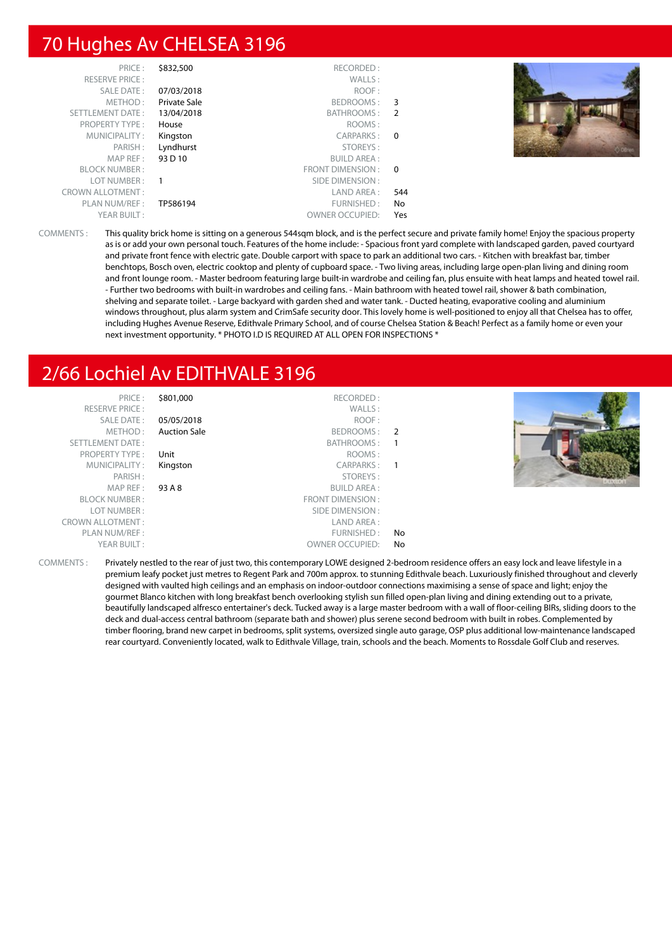# 70 Hughes Av CHELSEA 3196

| PRICE:                  | \$832,500           | RECORDED:              |                |  |
|-------------------------|---------------------|------------------------|----------------|--|
| <b>RESERVE PRICE:</b>   |                     | WALLS:                 |                |  |
| SALE DATE:              | 07/03/2018          | ROOF:                  |                |  |
| METHOD:                 | <b>Private Sale</b> | BEDROOMS:              | -3             |  |
| SETTLEMENT DATE:        | 13/04/2018          | BATHROOMS:             | 2              |  |
| <b>PROPERTY TYPE:</b>   | House               | ROOMS:                 |                |  |
| MUNICIPALITY:           | Kingston            | CARPARKS:              | $\overline{0}$ |  |
| PARISH:                 | Lyndhurst           | STOREYS:               |                |  |
| MAP REF:                | 93 D 10             | <b>BUILD AREA:</b>     |                |  |
| <b>BLOCK NUMBER:</b>    |                     | FRONT DIMENSION :      | - 0            |  |
| LOT NUMBER:             |                     | SIDE DIMENSION :       |                |  |
| <b>CROWN ALLOTMENT:</b> |                     | LAND AREA:             | 544            |  |
| PLAN NUM/REF :          | TP586194            | FURNISHED:             | No             |  |
| YEAR BUILT:             |                     | <b>OWNER OCCUPIED:</b> | Yes            |  |

COMMENTS : This quality brick home is sitting on a generous 544sqm block, and is the perfect secure and private family home! Enjoy the spacious property as is or add your own personal touch. Features of the home include: - Spacious front yard complete with landscaped garden, paved courtyard and private front fence with electric gate. Double carport with space to park an additional two cars. - Kitchen with breakfast bar, timber benchtops, Bosch oven, electric cooktop and plenty of cupboard space. - Two living areas, including large open-plan living and dining room and front lounge room. - Master bedroom featuring large built-in wardrobe and ceiling fan, plus ensuite with heat lamps and heated towel rail. - Further two bedrooms with built-in wardrobes and ceiling fans. - Main bathroom with heated towel rail, shower & bath combination, shelving and separate toilet. - Large backyard with garden shed and water tank. - Ducted heating, evaporative cooling and aluminium windows throughout, plus alarm system and CrimSafe security door. This lovely home is well-positioned to enjoy all that Chelsea has to offer, including Hughes Avenue Reserve, Edithvale Primary School, and of course Chelsea Station & Beach! Perfect as a family home or even your next investment opportunity. \* PHOTO I.D IS REQUIRED AT ALL OPEN FOR INSPECTIONS \*

# 2/66 Lochiel Av EDITHVALE 3196

RESERVE PRICE : SALE DATE : 05/05/ SETTLEMENT DATE: PROPERTY TYPE : Unit MUNICIPALITY : Kingsto MAP REF : 93 A 8 **BLOCK NUMBER:** LOT NUMBER: CROWN ALLOTMENT : PLAN NUM/REF : YEAR BUILT:

|                | RECORDED:               | \$801,000           | PRICE:            |
|----------------|-------------------------|---------------------|-------------------|
|                | WALLS:                  |                     | $NFE$ PRICE :     |
|                | ROOF:                   | 05/05/2018          | ALE DATE :        |
| $\overline{2}$ | BEDROOMS:               | <b>Auction Sale</b> | METHOD:           |
| 1              | BATHROOMS:              |                     | $ENT$ DATE :      |
|                | ROOMS:                  | Unit                | RTY TYPE :        |
| 1              | CARPARKS:               | Kingston            | <b>ICIPALITY:</b> |
|                | STOREYS:                |                     | PARISH:           |
|                | <b>BUILD AREA:</b>      | 93 A 8              | MAP REF:          |
|                | <b>FRONT DIMENSION:</b> |                     | NUMBER:           |
|                | SIDE DIMENSION:         |                     | NUMBER:           |
|                | LAND AREA :             |                     | OTMENT:           |
| No             | FURNISHED:              |                     | NUM/REF :         |
| No             | <b>OWNER OCCUPIED:</b>  |                     | AR BUILT:         |
|                |                         |                     |                   |



COMMENTS : Privately nestled to the rear of just two, this contemporary LOWE designed 2-bedroom residence offers an easy lock and leave lifestyle in a premium leafy pocket just metres to Regent Park and 700m approx. to stunning Edithvale beach. Luxuriously finished throughout and cleverly designed with vaulted high ceilings and an emphasis on indoor-outdoor connections maximising a sense of space and light; enjoy the gourmet Blanco kitchen with long breakfast bench overlooking stylish sun filled open-plan living and dining extending out to a private, beautifully landscaped alfresco entertainer's deck. Tucked away is a large master bedroom with a wall of floor-ceiling BIRs, sliding doors to the deck and dual-access central bathroom (separate bath and shower) plus serene second bedroom with built in robes. Complemented by timber flooring, brand new carpet in bedrooms, split systems, oversized single auto garage, OSP plus additional low-maintenance landscaped rear courtyard. Conveniently located, walk to Edithvale Village, train, schools and the beach. Moments to Rossdale Golf Club and reserves.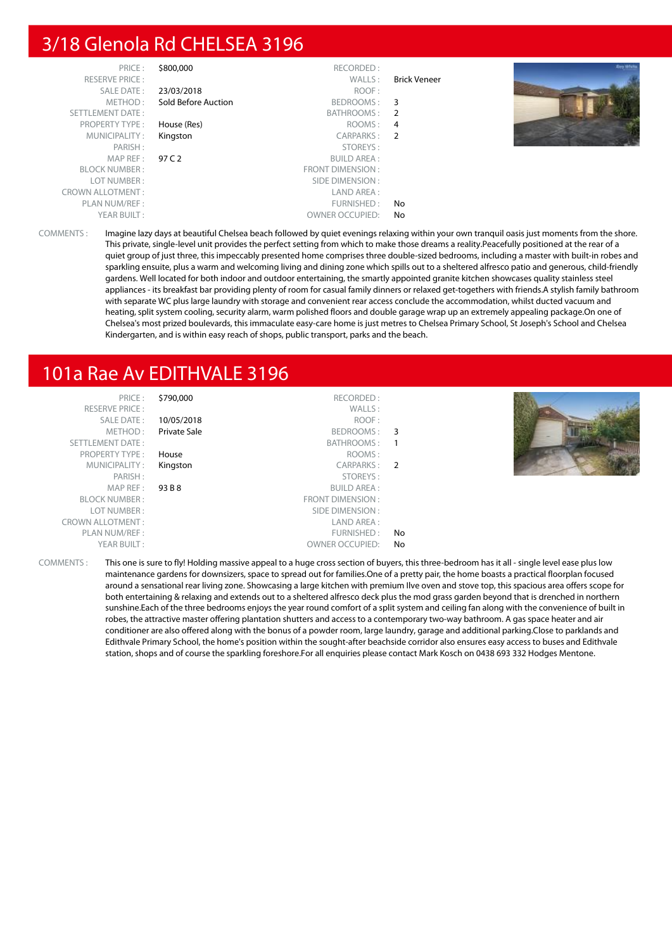# 3/18 Glenola Rd CHELSEA 3196

| PRICE:                  | \$800,000           | RECORDED:               |                     |
|-------------------------|---------------------|-------------------------|---------------------|
| <b>RESERVE PRICE:</b>   |                     | WALLS:                  | <b>Brick Veneer</b> |
| <b>SALE DATE:</b>       | 23/03/2018          | ROOF:                   |                     |
| METHOD:                 | Sold Before Auction | BEDROOMS:               | 3                   |
| <b>SETTLEMENT DATE:</b> |                     | BATHROOMS:              | 2                   |
| <b>PROPERTY TYPE:</b>   | House (Res)         | ROOMS:                  | 4                   |
| MUNICIPALITY:           | Kingston            | CARPARKS:               | $\mathcal{P}$       |
| PARISH:                 |                     | STOREYS:                |                     |
| MAP REF:                | 97 C 2              | <b>BUILD AREA:</b>      |                     |
| <b>BLOCK NUMBER:</b>    |                     | <b>FRONT DIMENSION:</b> |                     |
| LOT NUMBER:             |                     | SIDE DIMENSION :        |                     |
| <b>CROWN ALLOTMENT:</b> |                     | LAND AREA :             |                     |
| PLAN NUM/REF:           |                     | FURNISHED:              | No                  |
| YEAR BUILT:             |                     | <b>OWNER OCCUPIED:</b>  | No                  |



COMMENTS : Imagine lazy days at beautiful Chelsea beach followed by quiet evenings relaxing within your own tranquil oasis just moments from the shore. This private, single-level unit provides the perfect setting from which to make those dreams a reality.Peacefully positioned at the rear of a quiet group of just three, this impeccably presented home comprises three double-sized bedrooms, including a master with built-in robes and sparkling ensuite, plus a warm and welcoming living and dining zone which spills out to a sheltered alfresco patio and generous, child-friendly gardens. Well located for both indoor and outdoor entertaining, the smartly appointed granite kitchen showcases quality stainless steel appliances - its breakfast bar providing plenty of room for casual family dinners or relaxed get-togethers with friends.A stylish family bathroom with separate WC plus large laundry with storage and convenient rear access conclude the accommodation, whilst ducted vacuum and heating, split system cooling, security alarm, warm polished floors and double garage wrap up an extremely appealing package.On one of Chelsea's most prized boulevards, this immaculate easy-care home is just metres to Chelsea Primary School, St Joseph's School and Chelsea Kindergarten, and is within easy reach of shops, public transport, parks and the beach.

# 101a Rae Av EDITHVALE 3196

| PRICE:<br><b>RESERVE PRICE:</b><br>SALE DATE:<br>METHOD:<br>SETTLEMENT DATE:<br><b>PROPERTY TYPE:</b><br>MUNICIPALITY:<br>PARISH:<br>MAP REF :<br><b>BLOCK NUMBER:</b><br>LOT NUMBER:<br><b>CROWN ALLOTMENT:</b><br>PLAN NUM/REF :<br>YEAR BUILT: | \$790,000<br>10/05/2018<br><b>Private Sale</b><br>House<br>Kingston<br>93 B 8 | RECORDED:<br>WALLS:<br>ROOF:<br>BEDROOMS: 3<br>BATHROOMS:<br>ROOMS:<br>CARPARKS:<br>STOREYS:<br><b>BUILD AREA:</b><br>FRONT DIMENSION:<br>SIDE DIMENSION :<br>LAND AREA :<br>FURNISHED :<br><b>OWNER OCCUPIED:</b> | $\overline{2}$<br>No<br>No |  |
|---------------------------------------------------------------------------------------------------------------------------------------------------------------------------------------------------------------------------------------------------|-------------------------------------------------------------------------------|--------------------------------------------------------------------------------------------------------------------------------------------------------------------------------------------------------------------|----------------------------|--|
|---------------------------------------------------------------------------------------------------------------------------------------------------------------------------------------------------------------------------------------------------|-------------------------------------------------------------------------------|--------------------------------------------------------------------------------------------------------------------------------------------------------------------------------------------------------------------|----------------------------|--|

COMMENTS : This one is sure to fly! Holding massive appeal to a huge cross section of buyers, this three-bedroom has it all - single level ease plus low maintenance gardens for downsizers, space to spread out for families.One of a pretty pair, the home boasts a practical floorplan focused around a sensational rear living zone. Showcasing a large kitchen with premium Ilve oven and stove top, this spacious area offers scope for both entertaining & relaxing and extends out to a sheltered alfresco deck plus the mod grass garden beyond that is drenched in northern sunshine.Each of the three bedrooms enjoys the year round comfort of a split system and ceiling fan along with the convenience of built in robes, the attractive master offering plantation shutters and access to a contemporary two-way bathroom. A gas space heater and air conditioner are also offered along with the bonus of a powder room, large laundry, garage and additional parking.Close to parklands and Edithvale Primary School, the home's position within the sought-after beachside corridor also ensures easy access to buses and Edithvale station, shops and of course the sparkling foreshore.For all enquiries please contact Mark Kosch on 0438 693 332 Hodges Mentone.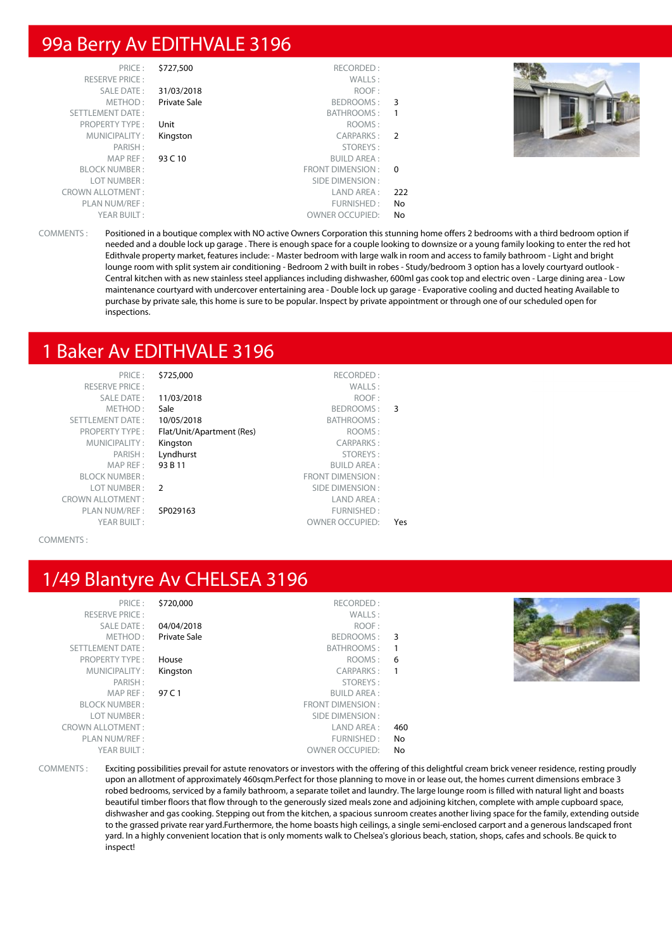## 99a Berry Av EDITHVALE 3196

| PRICE:<br>RESERVE PRICE: | \$727,500    | RECORDED:<br>WALLS:    |     |  |
|--------------------------|--------------|------------------------|-----|--|
| <b>SALE DATE:</b>        | 31/03/2018   | ROOF:                  |     |  |
| METHOD:                  | Private Sale | BEDROOMS: 3            |     |  |
| SETTLEMENT DATE:         |              | BATHROOMS:             | -1  |  |
| <b>PROPERTY TYPE:</b>    | Unit         | ROOMS:                 |     |  |
| MUNICIPALITY:            | Kingston     | CARPARKS: 2            |     |  |
| PARISH:                  |              | STOREYS:               |     |  |
| MAPREF:                  | 93 C 10      | <b>BUILD AREA:</b>     |     |  |
| <b>BLOCK NUMBER:</b>     |              | FRONT DIMENSION: 0     |     |  |
| LOT NUMBER:              |              | SIDE DIMENSION :       |     |  |
| <b>CROWN ALLOTMENT:</b>  |              | LAND AREA :            | 222 |  |
| PLAN NUM/REF :           |              | FURNISHED:             | No. |  |
| YEAR BUILT:              |              | <b>OWNER OCCUPIED:</b> | No  |  |

COMMENTS : Positioned in a boutique complex with NO active Owners Corporation this stunning home offers 2 bedrooms with a third bedroom option if needed and a double lock up garage . There is enough space for a couple looking to downsize or a young family looking to enter the red hot Edithvale property market, features include: - Master bedroom with large walk in room and access to family bathroom - Light and bright lounge room with split system air conditioning - Bedroom 2 with built in robes - Study/bedroom 3 option has a lovely courtyard outlook - Central kitchen with as new stainless steel appliances including dishwasher, 600ml gas cook top and electric oven - Large dining area - Low maintenance courtyard with undercover entertaining area - Double lock up garage - Evaporative cooling and ducted heating Available to purchase by private sale, this home is sure to be popular. Inspect by private appointment or through one of our scheduled open for inspections.

### 1 Baker Av EDITHVALE 3196

| PRICE:                  | \$725,000                 | RECORDED:               |     |
|-------------------------|---------------------------|-------------------------|-----|
| <b>RESERVE PRICE:</b>   |                           | WALLS:                  |     |
| <b>SALE DATE:</b>       | 11/03/2018                | ROOF:                   |     |
| METHOD:                 | Sale                      | BEDROOMS:               | 3   |
| <b>SETTLEMENT DATE:</b> | 10/05/2018                | BATHROOMS:              |     |
| <b>PROPERTY TYPE:</b>   | Flat/Unit/Apartment (Res) | ROOMS:                  |     |
| MUNICIPALITY:           | Kingston                  | <b>CARPARKS:</b>        |     |
| PARISH:                 | Lyndhurst                 | STOREYS:                |     |
| MAP REF:                | 93 B 11                   | <b>BUILD AREA:</b>      |     |
| <b>BLOCK NUMBER:</b>    |                           | <b>FRONT DIMENSION:</b> |     |
| LOT NUMBER:             | $\mathcal{L}$             | SIDE DIMENSION:         |     |
| <b>CROWN ALLOTMENT:</b> |                           | LAND AREA:              |     |
| PLAN NUM/REF:           | SP029163                  | FURNISHED:              |     |
| YEAR BUILT:             |                           | <b>OWNER OCCUPIED:</b>  | Yes |
|                         |                           |                         |     |

COMMENTS :

# 1/49 Blantyre Av CHELSEA 3196

| 57. | PRICE :                 |
|-----|-------------------------|
|     | <b>RESERVE PRICE:</b>   |
| 04  | SALE DATE:              |
| Pri | METHOD :                |
|     | <b>SETTLEMENT DATE:</b> |
| Ho  | PROPERTY TYPE :         |
| Kir | MUNICIPALITY :          |
|     | PARISH:                 |
| 97  | MAP REF :               |
|     | <b>BLOCK NUMBER:</b>    |
|     | LOT NUMBER:             |
|     | <b>CROWN ALLOTMENT:</b> |
|     | PLAN NUM/REF:           |
|     | YEAR BUILT:             |
|     |                         |

|     | \$720,000<br>RECORDED:       | PRICE:                  |
|-----|------------------------------|-------------------------|
|     | WALLS:                       | <b>RESERVE PRICE:</b>   |
|     | 04/04/2018<br>ROOF:          | <b>SALE DATE:</b>       |
| 3   | Private Sale<br>BEDROOMS:    | METHOD:                 |
|     | BATHROOMS:                   | <b>SETTLEMENT DATE:</b> |
| 6   | ROOMS:<br>House              | <b>PROPERTY TYPE:</b>   |
|     | <b>CARPARKS:</b><br>Kingston | MUNICIPALITY:           |
|     | STOREYS:                     | PARISH:                 |
|     | 97 C 1<br><b>BUILD AREA:</b> | MAP REF:                |
|     | <b>FRONT DIMENSION:</b>      | <b>BLOCK NUMBER:</b>    |
|     | SIDE DIMENSION:              | LOT NUMBER:             |
| 460 | LAND AREA:                   | <b>CROWN ALLOTMENT:</b> |
| No  | FURNISHED:                   | PLAN NUM/REF:           |
| No  | <b>OWNER OCCUPIED:</b>       | YEAR BUILT:             |
|     |                              |                         |



COMMENTS : Exciting possibilities prevail for astute renovators or investors with the offering of this delightful cream brick veneer residence, resting proudly upon an allotment of approximately 460sqm.Perfect for those planning to move in or lease out, the homes current dimensions embrace 3 robed bedrooms, serviced by a family bathroom, a separate toilet and laundry. The large lounge room is filled with natural light and boasts beautiful timber floors that flow through to the generously sized meals zone and adjoining kitchen, complete with ample cupboard space, dishwasher and gas cooking. Stepping out from the kitchen, a spacious sunroom creates another living space for the family, extending outside to the grassed private rear yard.Furthermore, the home boasts high ceilings, a single semi-enclosed carport and a generous landscaped front yard. In a highly convenient location that is only moments walk to Chelsea's glorious beach, station, shops, cafes and schools. Be quick to inspect!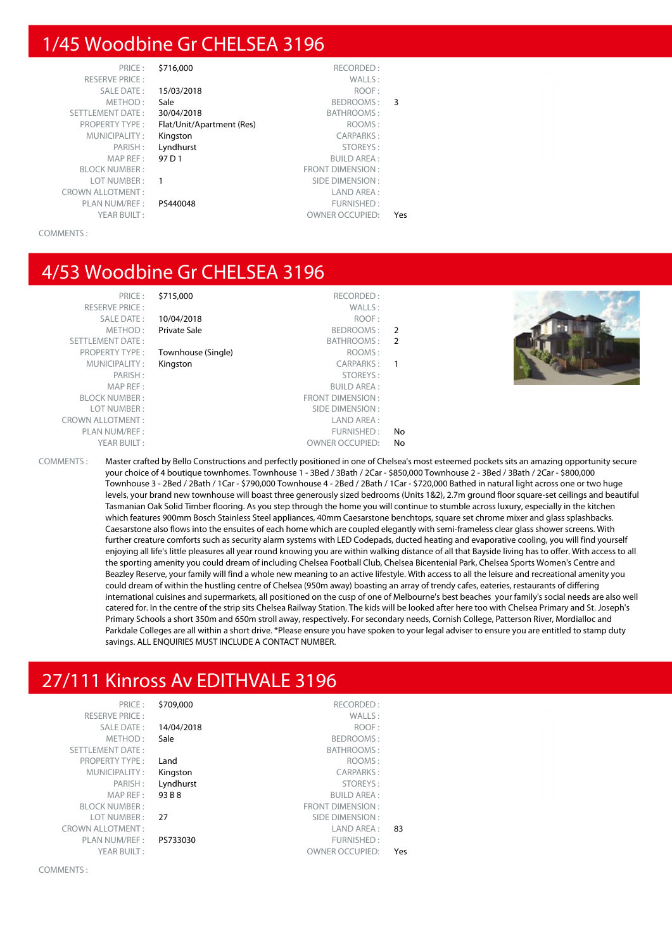# 1/45 Woodbine Gr CHELSEA 3196

| PRICE:                  | \$716,000                 | RECORDED:               |     |
|-------------------------|---------------------------|-------------------------|-----|
| <b>RESERVE PRICE:</b>   |                           | WALLS:                  |     |
| <b>SALE DATE:</b>       | 15/03/2018                | ROOF:                   |     |
| METHOD:                 | Sale                      | BEDROOMS:               | 3   |
| <b>SETTLEMENT DATE:</b> | 30/04/2018                | BATHROOMS:              |     |
| <b>PROPERTY TYPE:</b>   | Flat/Unit/Apartment (Res) | ROOMS:                  |     |
| MUNICIPALITY:           | Kingston                  | <b>CARPARKS:</b>        |     |
| PARISH:                 | Lyndhurst                 | STOREYS:                |     |
| MAP REF:                | 97 D 1                    | <b>BUILD AREA:</b>      |     |
| <b>BLOCK NUMBER:</b>    |                           | <b>FRONT DIMENSION:</b> |     |
| LOT NUMBER:             | 1                         | SIDE DIMENSION:         |     |
| <b>CROWN ALLOTMENT:</b> |                           | LAND AREA:              |     |
| PLAN NUM/REF:           | PS440048                  | FURNISHED:              |     |
| YEAR BUILT:             |                           | <b>OWNER OCCUPIED:</b>  | Yes |
|                         |                           |                         |     |

COMMENTS :

#### 4/53 Woodbine Gr CHELSEA 3196

| BE SEBVE PBILE :        |
|-------------------------|
| <b>SALE DATE:</b>       |
| METHOD:                 |
| <b>SETTLEMENT DATE:</b> |
| <b>PROPERTY TYPE:</b>   |
| MUNICIPALITY:           |
| PARISH:                 |
| MAP REF:                |
| <b>BI OCK NUMBER:</b>   |
| LOT NUMBER:             |
| ROWN ALLOTMENT:         |
| PLAN NUM/REF:           |
| YFAR BUILT:             |

PRICE : \$715,000 RECORDED :<br>
RECORDED : MALLS RESERVE PRICE : WALLS : **10/04/2018** ROOF : Private Sale **BEDROOMS** : 2 BATHROOMS : 2 **Townhouse (Single)** ROOMS : Kingston CARPARKS : 1 PARISH : STOREYS : **BUILD AREA:** FRONT DIMENSION : SIDE DIMENSION : CROWN ALLOTMENT : LAND AREA : FURNISHED: No OWNER OCCUPIED: No



COMMENTS : Master crafted by Bello Constructions and perfectly positioned in one of Chelsea's most esteemed pockets sits an amazing opportunity secure your choice of 4 boutique townhomes. Townhouse 1 - 3Bed / 3Bath / 2Car - \$850,000 Townhouse 2 - 3Bed / 3Bath / 2Car - \$800,000 Townhouse 3 - 2Bed / 2Bath / 1Car - \$790,000 Townhouse 4 - 2Bed / 2Bath / 1Car - \$720,000 Bathed in natural light across one or two huge levels, your brand new townhouse will boast three generously sized bedrooms (Units 1&2), 2.7m ground floor square-set ceilings and beautiful Tasmanian Oak Solid Timber flooring. As you step through the home you will continue to stumble across luxury, especially in the kitchen which features 900mm Bosch Stainless Steel appliances, 40mm Caesarstone benchtops, square set chrome mixer and glass splashbacks. Caesarstone also flows into the ensuites of each home which are coupled elegantly with semi-frameless clear glass shower screens. With further creature comforts such as security alarm systems with LED Codepads, ducted heating and evaporative cooling, you will find yourself enjoying all life's little pleasures all year round knowing you are within walking distance of all that Bayside living has to offer. With access to all the sporting amenity you could dream of including Chelsea Football Club, Chelsea Bicentenial Park, Chelsea Sports Women's Centre and Beazley Reserve, your family will find a whole new meaning to an active lifestyle. With access to all the leisure and recreational amenity you could dream of within the hustling centre of Chelsea (950m away) boasting an array of trendy cafes, eateries, restaurants of differing international cuisines and supermarkets, all positioned on the cusp of one of Melbourne's best beaches your family's social needs are also well catered for. In the centre of the strip sits Chelsea Railway Station. The kids will be looked after here too with Chelsea Primary and St. Joseph's Primary Schools a short 350m and 650m stroll away, respectively. For secondary needs, Cornish College, Patterson River, Mordialloc and Parkdale Colleges are all within a short drive. \*Please ensure you have spoken to your legal adviser to ensure you are entitled to stamp duty savings. ALL ENQUIRIES MUST INCLUDE A CONTACT NUMBER.

# 27/111 Kinross Av EDITHVALE 3196

| PRICE:                  | \$709,000  | RECORDED:               |     |
|-------------------------|------------|-------------------------|-----|
| <b>RESERVE PRICE:</b>   |            | WALLS:                  |     |
| <b>SALE DATE:</b>       | 14/04/2018 | ROOF:                   |     |
| METHOD:                 | Sale       | BEDROOMS:               |     |
| <b>SETTLEMENT DATE:</b> |            | <b>BATHROOMS:</b>       |     |
| <b>PROPERTY TYPE:</b>   | Land       | ROOMS:                  |     |
| MUNICIPALITY:           | Kingston   | <b>CARPARKS:</b>        |     |
| PARISH:                 | Lyndhurst  | STOREYS:                |     |
| MAP REF:                | 93 B 8     | <b>BUILD AREA:</b>      |     |
| <b>BLOCK NUMBER:</b>    |            | <b>FRONT DIMENSION:</b> |     |
| LOT NUMBER:             | 27         | SIDE DIMENSION:         |     |
| <b>CROWN ALLOTMENT:</b> |            | LAND AREA:              | 83  |
| PLAN NUM/REF :          | PS733030   | FURNISHED:              |     |
| YEAR BUILT:             |            | <b>OWNER OCCUPIED:</b>  | Yes |
|                         |            |                         |     |

COMMENTS :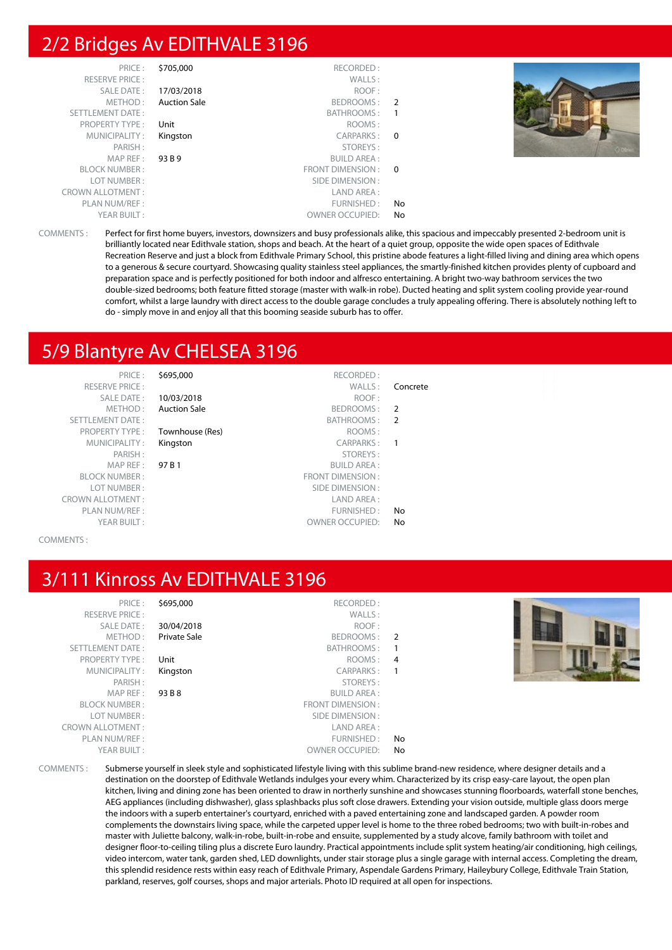# 2/2 Bridges Av EDITHVALE 3196

| PRICE:                  | \$705,000           | RECORDED:              |                |  |
|-------------------------|---------------------|------------------------|----------------|--|
| <b>RESERVE PRICE:</b>   |                     | WALLS:                 |                |  |
| <b>SALE DATE:</b>       | 17/03/2018          | ROOF:                  |                |  |
| METHOD:                 | <b>Auction Sale</b> | BEDROOMS:              | $\overline{2}$ |  |
| SETTLEMENT DATE:        |                     | BATHROOMS:             |                |  |
| <b>PROPERTY TYPE:</b>   | Unit                | ROOMS:                 |                |  |
| MUNICIPALITY:           | Kingston            | CARPARKS:              | $\Omega$       |  |
| PARISH:                 |                     | STOREYS:               |                |  |
| MAP REF :               | 93 B 9              | <b>BUILD AREA:</b>     |                |  |
| <b>BLOCK NUMBER:</b>    |                     | FRONT DIMENSION : 0    |                |  |
| LOT NUMBER:             |                     | SIDE DIMENSION :       |                |  |
| <b>CROWN ALLOTMENT:</b> |                     | LAND AREA:             |                |  |
| PLAN NUM/REF:           |                     | FURNISHED:             | No             |  |
| YEAR BUILT:             |                     | <b>OWNER OCCUPIED:</b> | No             |  |

COMMENTS : Perfect for first home buyers, investors, downsizers and busy professionals alike, this spacious and impeccably presented 2-bedroom unit is brilliantly located near Edithvale station, shops and beach. At the heart of a quiet group, opposite the wide open spaces of Edithvale Recreation Reserve and just a block from Edithvale Primary School, this pristine abode features a light-filled living and dining area which opens to a generous & secure courtyard. Showcasing quality stainless steel appliances, the smartly-finished kitchen provides plenty of cupboard and preparation space and is perfectly positioned for both indoor and alfresco entertaining. A bright two-way bathroom services the two double-sized bedrooms; both feature fitted storage (master with walk-in robe). Ducted heating and split system cooling provide year-round comfort, whilst a large laundry with direct access to the double garage concludes a truly appealing offering. There is absolutely nothing left to do - simply move in and enjoy all that this booming seaside suburb has to offer.

# 5/9 Blantyre Av CHELSEA 3196

PRICE : \$695,000 RECORDED : RESERVE PRICE : WALLS : Concrete SETTLEMENT DATE : BATHROOMS : 2 PROPERTY TYPE : **Townhouse (Res)** The COMS :

SALE DATE : 10/03/2018 ROOF : METHOD: Auction Sale BEDROOMS: 2

MUNICIPALITY: Kingston CARPARKS: 1 PARISH : STOREYS : STOREYS : STOREYS : STOREYS : STOREYS : STOREYS : STOREYS : STOREYS : STOREYS : STOREYS : STOREYS : STOREYS : STORE : STORE : STORE : STORE : STORE : STORE : STORE : STORE : STORE : STORE : STORE : STORE MAP REF : 97 B 1 BUILD AREA : BLOCK NUMBER : FRONT DIMENSION : SIDE DIMENSION : CROWN ALLOTMENT : LAND AREA : PLAN NUM/REF :  $\blacksquare$ YEAR BUILT : OWNER OCCUPIED: No

COMMENTS :

# 3/111 Kinross Av EDITHVALE 3196

| PRICE:                  | \$695,000           | RECORDED:              |                          |  |
|-------------------------|---------------------|------------------------|--------------------------|--|
| <b>RESERVE PRICE:</b>   |                     | WALLS:                 |                          |  |
| SALE DATE:              | 30/04/2018          | ROOF:                  |                          |  |
| METHOD:                 | <b>Private Sale</b> | BEDROOMS:              | $\overline{2}$           |  |
| SETTLEMENT DATE:        |                     | BATHROOMS:             |                          |  |
| <b>PROPERTY TYPE:</b>   | Unit                | ROOMS:                 | $\overline{4}$           |  |
| MUNICIPALITY:           | Kingston            | CARPARKS:              | $\overline{\phantom{0}}$ |  |
| PARISH:                 |                     | STOREYS:               |                          |  |
| MAP REF:                | 93 B 8              | <b>BUILD AREA:</b>     |                          |  |
| <b>BLOCK NUMBER:</b>    |                     | FRONT DIMENSION:       |                          |  |
| LOT NUMBER:             |                     | SIDE DIMENSION :       |                          |  |
| <b>CROWN ALLOTMENT:</b> |                     | LAND AREA :            |                          |  |
| PLAN NUM/REF :          |                     | FURNISHED:             | No.                      |  |
| YEAR BUILT:             |                     | <b>OWNER OCCUPIED:</b> | No.                      |  |
|                         |                     |                        |                          |  |

COMMENTS : Submerse yourself in sleek style and sophisticated lifestyle living with this sublime brand-new residence, where designer details and a destination on the doorstep of Edithvale Wetlands indulges your every whim. Characterized by its crisp easy-care layout, the open plan kitchen, living and dining zone has been oriented to draw in northerly sunshine and showcases stunning floorboards, waterfall stone benches, AEG appliances (including dishwasher), glass splashbacks plus soft close drawers. Extending your vision outside, multiple glass doors merge the indoors with a superb entertainer's courtyard, enriched with a paved entertaining zone and landscaped garden. A powder room complements the downstairs living space, while the carpeted upper level is home to the three robed bedrooms; two with built-in-robes and master with Juliette balcony, walk-in-robe, built-in-robe and ensuite, supplemented by a study alcove, family bathroom with toilet and designer floor-to-ceiling tiling plus a discrete Euro laundry. Practical appointments include split system heating/air conditioning, high ceilings, video intercom, water tank, garden shed, LED downlights, under stair storage plus a single garage with internal access. Completing the dream, this splendid residence rests within easy reach of Edithvale Primary, Aspendale Gardens Primary, Haileybury College, Edithvale Train Station, parkland, reserves, golf courses, shops and major arterials. Photo ID required at all open for inspections.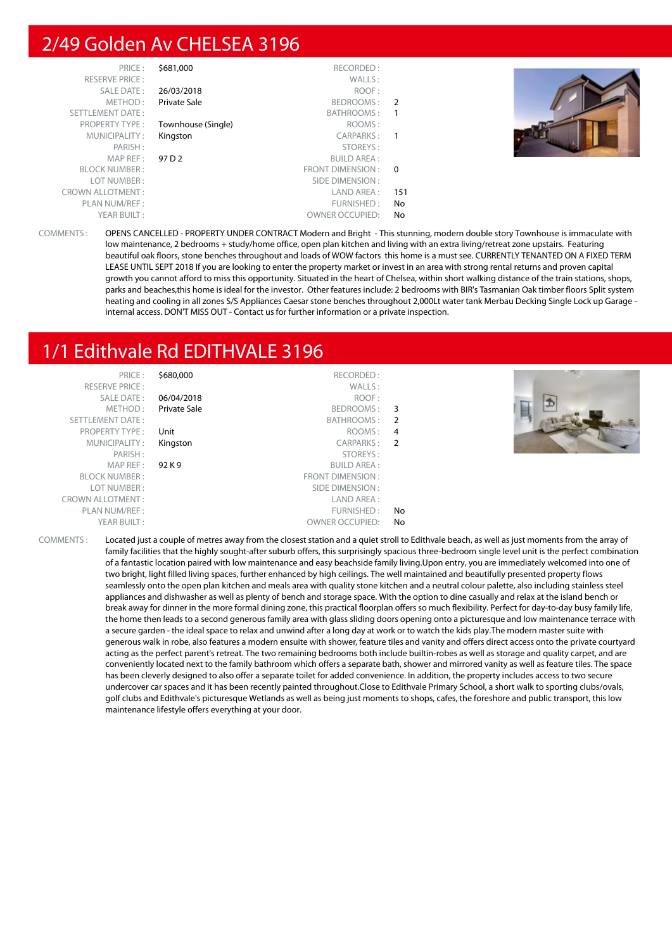# 2/49 Golden Av CHELSEA 3196

| PRICE:                  | \$681,000          | RECORDED:               |               |
|-------------------------|--------------------|-------------------------|---------------|
| <b>RESERVE PRICE:</b>   |                    | WALLS:                  |               |
| <b>SALE DATE:</b>       | 26/03/2018         | ROOF:                   |               |
| METHOD:                 | Private Sale       | BEDROOMS:               | $\mathcal{P}$ |
| <b>SETTLEMENT DATE:</b> |                    | BATHROOMS:              | 1             |
| <b>PROPERTY TYPE:</b>   | Townhouse (Single) | ROOMS:                  |               |
| MUNICIPALITY:           | Kingston           | CARPARKS:               |               |
| PARISH:                 |                    | STOREYS:                |               |
| MAP REF:                | 97 D 2             | <b>BUILD AREA:</b>      |               |
| <b>BLOCK NUMBER:</b>    |                    | <b>FRONT DIMENSION:</b> | $\Omega$      |
| LOT NUMBER:             |                    | SIDE DIMENSION:         |               |
| <b>CROWN ALLOTMENT:</b> |                    | LAND AREA:              | 151           |
| PLAN NUM/REF :          |                    | FURNISHED:              | No            |
| YEAR BUILT:             |                    | <b>OWNER OCCUPIED:</b>  | No            |



COMMENTS : OPENS CANCELLED - PROPERTY UNDER CONTRACT Modern and Bright - This stunning, modern double story Townhouse is immaculate with low maintenance, 2 bedrooms + study/home office, open plan kitchen and living with an extra living/retreat zone upstairs. Featuring beautiful oak floors, stone benches throughout and loads of WOW factors this home is a must see. CURRENTLY TENANTED ON A FIXED TERM LEASE UNTIL SEPT 2018 If you are looking to enter the property market or invest in an area with strong rental returns and proven capital growth you cannot afford to miss this opportunity. Situated in the heart of Chelsea, within short walking distance of the train stations, shops, parks and beaches,this home is ideal for the investor. Other features include: 2 bedrooms with BIR's Tasmanian Oak timber floors Split system heating and cooling in all zones S/S Appliances Caesar stone benches throughout 2,000Lt water tank Merbau Decking Single Lock up Garage internal access. DON'T MISS OUT - Contact us for further information or a private inspection.

# 1/1 Edithvale Rd EDITHVALE 3196

| PRICE:                  | \$680,000    | RECORDED:              |    |  |
|-------------------------|--------------|------------------------|----|--|
| <b>RESERVE PRICE:</b>   |              | WALLS:                 |    |  |
| SALE DATE:              | 06/04/2018   | ROOF:                  |    |  |
| METHOD:                 | Private Sale | BEDROOMS: 3            |    |  |
| SETTLEMENT DATE:        |              | BATHROOMS: 2           |    |  |
| <b>PROPERTY TYPE:</b>   | Unit         | ROOMS: 4               |    |  |
| MUNICIPALITY:           | Kingston     | CARPARKS: 2            |    |  |
| PARISH:                 |              | STOREYS:               |    |  |
| MAPREF:                 | 92 K 9       | <b>BUILD AREA:</b>     |    |  |
| <b>BLOCK NUMBER:</b>    |              | FRONT DIMENSION:       |    |  |
| LOT NUMBER:             |              | SIDE DIMENSION :       |    |  |
| <b>CROWN ALLOTMENT:</b> |              | LAND AREA:             |    |  |
| PLAN NUM/REF :          |              | FURNISHED:             | No |  |
| YEAR BUILT:             |              | <b>OWNER OCCUPIED:</b> | No |  |
|                         |              |                        |    |  |

COMMENTS : Located just a couple of metres away from the closest station and a quiet stroll to Edithvale beach, as well as just moments from the array of family facilities that the highly sought-after suburb offers, this surprisingly spacious three-bedroom single level unit is the perfect combination of a fantastic location paired with low maintenance and easy beachside family living.Upon entry, you are immediately welcomed into one of two bright, light filled living spaces, further enhanced by high ceilings. The well maintained and beautifully presented property flows seamlessly onto the open plan kitchen and meals area with quality stone kitchen and a neutral colour palette, also including stainless steel appliances and dishwasher as well as plenty of bench and storage space. With the option to dine casually and relax at the island bench or break away for dinner in the more formal dining zone, this practical floorplan offers so much flexibility. Perfect for day-to-day busy family life, the home then leads to a second generous family area with glass sliding doors opening onto a picturesque and low maintenance terrace with a secure garden - the ideal space to relax and unwind after a long day at work or to watch the kids play.The modern master suite with generous walk in robe, also features a modern ensuite with shower, feature tiles and vanity and offers direct access onto the private courtyard acting as the perfect parent's retreat. The two remaining bedrooms both include builtin-robes as well as storage and quality carpet, and are conveniently located next to the family bathroom which offers a separate bath, shower and mirrored vanity as well as feature tiles. The space has been cleverly designed to also offer a separate toilet for added convenience. In addition, the property includes access to two secure undercover car spaces and it has been recently painted throughout.Close to Edithvale Primary School, a short walk to sporting clubs/ovals, golf clubs and Edithvale's picturesque Wetlands as well as being just moments to shops, cafes, the foreshore and public transport, this low maintenance lifestyle offers everything at your door.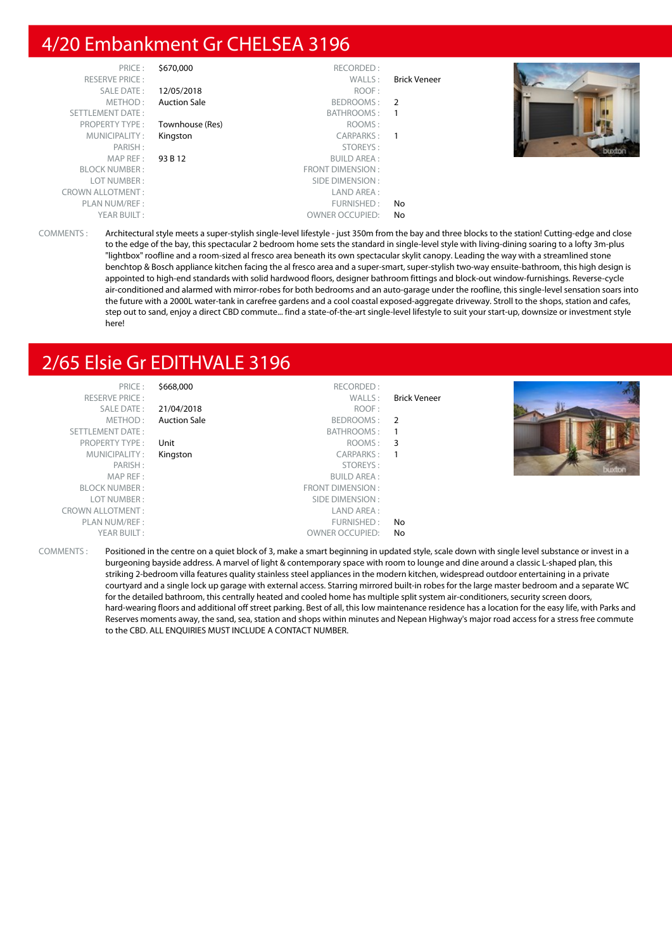# 4/20 Embankment Gr CHELSEA 3196

| PRICE:                  | \$670,000           | RECORDED:              |                     |     |
|-------------------------|---------------------|------------------------|---------------------|-----|
| <b>RESERVE PRICE:</b>   |                     | WALLS:                 | <b>Brick Veneer</b> |     |
| SALE DATE:              | 12/05/2018          | ROOF:                  |                     |     |
| METHOD:                 | <b>Auction Sale</b> | BEDROOMS: 2            |                     |     |
| SETTLEMENT DATE:        |                     | BATHROOMS:             | $\overline{1}$      |     |
| <b>PROPERTY TYPE:</b>   | Townhouse (Res)     | ROOMS:                 |                     |     |
| MUNICIPALITY:           | Kingston            | CARPARKS:              | $\overline{1}$      |     |
| PARISH:                 |                     | STOREYS:               |                     | bud |
| MAP REF :               | 93 B 12             | <b>BUILD AREA:</b>     |                     |     |
| <b>BLOCK NUMBER:</b>    |                     | FRONT DIMENSION:       |                     |     |
| LOT NUMBER:             |                     | SIDE DIMENSION :       |                     |     |
| <b>CROWN ALLOTMENT:</b> |                     | LAND AREA :            |                     |     |
| PLAN NUM/REF:           |                     | FURNISHED:             | No                  |     |
| YEAR BUILT:             |                     | <b>OWNER OCCUPIED:</b> | No                  |     |

COMMENTS : Architectural style meets a super-stylish single-level lifestyle - just 350m from the bay and three blocks to the station! Cutting-edge and close to the edge of the bay, this spectacular 2 bedroom home sets the standard in single-level style with living-dining soaring to a lofty 3m-plus "lightbox" roofline and a room-sized al fresco area beneath its own spectacular skylit canopy. Leading the way with a streamlined stone benchtop & Bosch appliance kitchen facing the al fresco area and a super-smart, super-stylish two-way ensuite-bathroom, this high design is appointed to high-end standards with solid hardwood floors, designer bathroom fittings and block-out window-furnishings. Reverse-cycle air-conditioned and alarmed with mirror-robes for both bedrooms and an auto-garage under the roofline, this single-level sensation soars into the future with a 2000L water-tank in carefree gardens and a cool coastal exposed-aggregate driveway. Stroll to the shops, station and cafes, step out to sand, enjoy a direct CBD commute... find a state-of-the-art single-level lifestyle to suit your start-up, downsize or investment style here!

# 2/65 Elsie Gr EDITHVALE 3196

| PRICE:                  | \$668,000           | RECORDED:              |                     |  |
|-------------------------|---------------------|------------------------|---------------------|--|
| <b>RESERVE PRICE:</b>   |                     | WALLS:                 | <b>Brick Veneer</b> |  |
| SALE DATE:              | 21/04/2018          | ROOF:                  |                     |  |
| METHOD:                 | <b>Auction Sale</b> | BEDROOMS: 2            |                     |  |
| SETTLEMENT DATE:        |                     | BATHROOMS:             |                     |  |
| <b>PROPERTY TYPE:</b>   | Unit                | ROOMS: 3               |                     |  |
| MUNICIPALITY:           | Kingston            | CARPARKS:              |                     |  |
| PARISH:                 |                     | STOREYS:               |                     |  |
| MAP REF :               |                     | <b>BUILD AREA:</b>     |                     |  |
| <b>BLOCK NUMBER:</b>    |                     | FRONT DIMENSION :      |                     |  |
| LOT NUMBER:             |                     | SIDE DIMENSION :       |                     |  |
| <b>CROWN ALLOTMENT:</b> |                     | LAND AREA :            |                     |  |
| PLAN NUM/REF :          |                     | FURNISHED:             | No.                 |  |
| YEAR BUILT:             |                     | <b>OWNER OCCUPIED:</b> | No.                 |  |
|                         |                     |                        |                     |  |

COMMENTS : Positioned in the centre on a quiet block of 3, make a smart beginning in updated style, scale down with single level substance or invest in a burgeoning bayside address. A marvel of light & contemporary space with room to lounge and dine around a classic L-shaped plan, this striking 2-bedroom villa features quality stainless steel appliances in the modern kitchen, widespread outdoor entertaining in a private courtyard and a single lock up garage with external access. Starring mirrored built-in robes for the large master bedroom and a separate WC for the detailed bathroom, this centrally heated and cooled home has multiple split system air-conditioners, security screen doors, hard-wearing floors and additional off street parking. Best of all, this low maintenance residence has a location for the easy life, with Parks and Reserves moments away, the sand, sea, station and shops within minutes and Nepean Highway's major road access for a stress free commute to the CBD. ALL ENQUIRIES MUST INCLUDE A CONTACT NUMBER.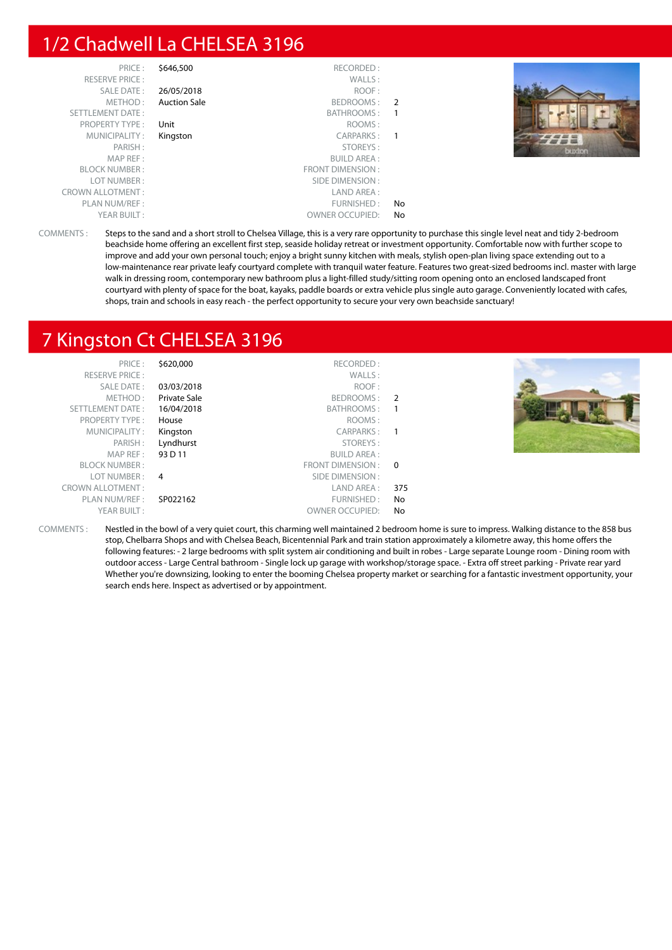# 1/2 Chadwell La CHELSEA 3196

| \$646,500           | RECORDED:               |               |
|---------------------|-------------------------|---------------|
|                     | WALLS:                  |               |
| 26/05/2018          | ROOF:                   |               |
| <b>Auction Sale</b> | BEDROOMS:               | $\mathcal{P}$ |
|                     | BATHROOMS:              | 1             |
| Unit                | ROOMS:                  |               |
| Kingston            | <b>CARPARKS:</b>        | 1             |
|                     | STOREYS:                |               |
|                     | <b>BUILD AREA:</b>      |               |
|                     | <b>FRONT DIMENSION:</b> |               |
|                     | SIDE DIMENSION:         |               |
|                     | LAND AREA:              |               |
|                     | FURNISHED:              | No            |
|                     | <b>OWNER OCCUPIED:</b>  | No            |
|                     |                         |               |



COMMENTS : Steps to the sand and a short stroll to Chelsea Village, this is a very rare opportunity to purchase this single level neat and tidy 2-bedroom beachside home offering an excellent first step, seaside holiday retreat or investment opportunity. Comfortable now with further scope to improve and add your own personal touch; enjoy a bright sunny kitchen with meals, stylish open-plan living space extending out to a low-maintenance rear private leafy courtyard complete with tranquil water feature. Features two great-sized bedrooms incl. master with large walk in dressing room, contemporary new bathroom plus a light-filled study/sitting room opening onto an enclosed landscaped front courtyard with plenty of space for the boat, kayaks, paddle boards or extra vehicle plus single auto garage. Conveniently located with cafes, shops, train and schools in easy reach - the perfect opportunity to secure your very own beachside sanctuary!

# 7 Kingston Ct CHELSEA 3196

| PRICE:                  | \$620,000           | RECORDED:              |     |  |
|-------------------------|---------------------|------------------------|-----|--|
| <b>RESERVE PRICE:</b>   |                     | WALLS:                 |     |  |
| SALE DATE:              | 03/03/2018          | ROOF:                  |     |  |
| METHOD:                 | <b>Private Sale</b> | BEDROOMS: 2            |     |  |
| SETTLEMENT DATE:        | 16/04/2018          | BATHROOMS: 1           |     |  |
| <b>PROPERTY TYPE:</b>   | House               | ROOMS:                 |     |  |
| MUNICIPALITY:           | Kingston            | CARPARKS: 1            |     |  |
| PARISH:                 | Lyndhurst           | STOREYS:               |     |  |
| MAP REF:                | 93 D 11             | <b>BUILD AREA:</b>     |     |  |
| <b>BLOCK NUMBER:</b>    |                     | FRONT DIMENSION : 0    |     |  |
| LOT NUMBER :            | $\overline{4}$      | SIDE DIMENSION :       |     |  |
| <b>CROWN ALLOTMENT:</b> |                     | LAND AREA :            | 375 |  |
| PLAN NUM/REF :          | SP022162            | FURNISHED:             | No  |  |
| YEAR BUILT:             |                     | <b>OWNER OCCUPIED:</b> | No  |  |

COMMENTS : Nestled in the bowl of a very quiet court, this charming well maintained 2 bedroom home is sure to impress. Walking distance to the 858 bus stop, Chelbarra Shops and with Chelsea Beach, Bicentennial Park and train station approximately a kilometre away, this home offers the following features: - 2 large bedrooms with split system air conditioning and built in robes - Large separate Lounge room - Dining room with outdoor access - Large Central bathroom - Single lock up garage with workshop/storage space. - Extra off street parking - Private rear yard Whether you're downsizing, looking to enter the booming Chelsea property market or searching for a fantastic investment opportunity, your search ends here. Inspect as advertised or by appointment.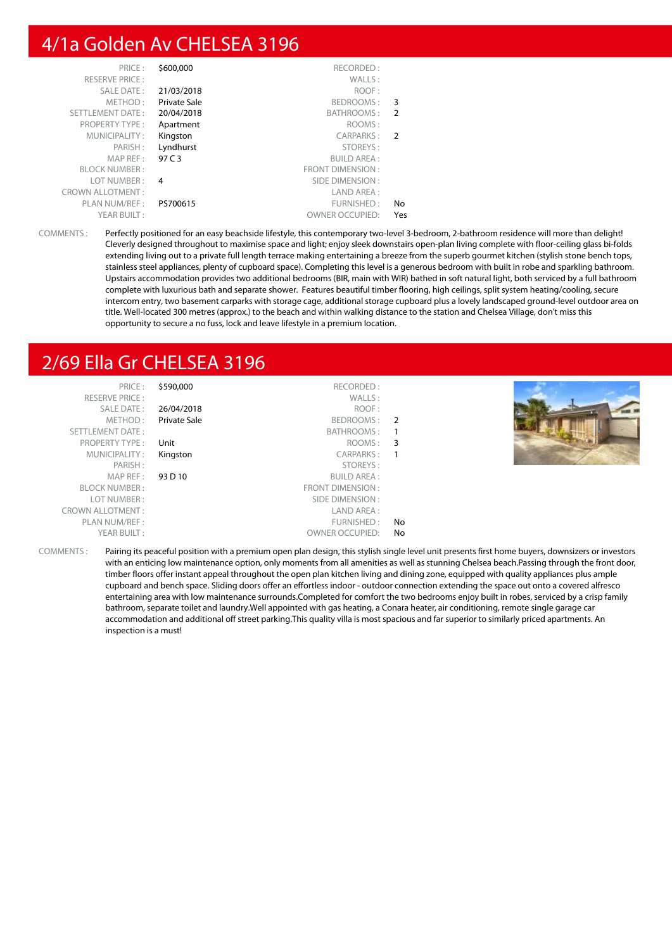# 4/1a Golden Av CHELSEA 3196

| RECORDED:               | \$600,000    | PRICE:                  |
|-------------------------|--------------|-------------------------|
| WALLS:                  |              | <b>RESERVE PRICE:</b>   |
| ROOF:                   | 21/03/2018   | SALE DATE:              |
| BEDROOMS:               | Private Sale | METHOD:                 |
| <b>BATHROOMS:</b>       | 20/04/2018   | <b>SETTLEMENT DATE:</b> |
| ROOMS:                  | Apartment    | <b>PROPERTY TYPE:</b>   |
| CARPARKS:               | Kingston     | MUNICIPALITY:           |
| STOREYS:                | Lyndhurst    | PARISH:                 |
| <b>BUILD AREA:</b>      | 97 C 3       | MAP REF:                |
| <b>FRONT DIMENSION:</b> |              | <b>BLOCK NUMBER:</b>    |
| SIDE DIMENSION:         | 4            | LOT NUMBER:             |
| LAND AREA:              |              | <b>CROWN ALLOTMENT:</b> |
| FURNISHED:              | PS700615     | PLAN NUM/REF:           |
| <b>OWNER OCCUPIED:</b>  |              | YEAR BUILT:             |
|                         |              |                         |

COMMENTS : Perfectly positioned for an easy beachside lifestyle, this contemporary two-level 3-bedroom, 2-bathroom residence will more than delight! Cleverly designed throughout to maximise space and light; enjoy sleek downstairs open-plan living complete with floor-ceiling glass bi-folds extending living out to a private full length terrace making entertaining a breeze from the superb gourmet kitchen (stylish stone bench tops, stainless steel appliances, plenty of cupboard space). Completing this level is a generous bedroom with built in robe and sparkling bathroom. Upstairs accommodation provides two additional bedrooms (BIR, main with WIR) bathed in soft natural light, both serviced by a full bathroom complete with luxurious bath and separate shower. Features beautiful timber flooring, high ceilings, split system heating/cooling, secure intercom entry, two basement carparks with storage cage, additional storage cupboard plus a lovely landscaped ground-level outdoor area on title. Well-located 300 metres (approx.) to the beach and within walking distance to the station and Chelsea Village, don't miss this opportunity to secure a no fuss, lock and leave lifestyle in a premium location.

# 2/69 Ella Gr CHELSEA 3196

| PRICE:                  | \$590,000    | RECORDED:              |    |  |
|-------------------------|--------------|------------------------|----|--|
| <b>RESERVE PRICE:</b>   |              | WALLS:                 |    |  |
| SALE DATE:              | 26/04/2018   | ROOF:                  |    |  |
| METHOD:                 | Private Sale | BEDROOMS:              | 2  |  |
| SETTLEMENT DATE:        |              | BATHROOMS:             |    |  |
| <b>PROPERTY TYPE:</b>   | Unit         | ROOMS:                 | 3  |  |
| MUNICIPALITY:           | Kingston     | <b>CARPARKS:</b>       |    |  |
| PARISH:                 |              | STOREYS:               |    |  |
| MAP REF:                | 93 D 10      | <b>BUILD AREA:</b>     |    |  |
| <b>BLOCK NUMBER:</b>    |              | FRONT DIMENSION:       |    |  |
| LOT NUMBER:             |              | SIDE DIMENSION :       |    |  |
| <b>CROWN ALLOTMENT:</b> |              | LAND AREA:             |    |  |
| PLAN NUM/REF:           |              | FURNISHED:             | No |  |
| YEAR BUILT:             |              | <b>OWNER OCCUPIED:</b> | No |  |
|                         |              |                        |    |  |

COMMENTS : Pairing its peaceful position with a premium open plan design, this stylish single level unit presents first home buyers, downsizers or investors with an enticing low maintenance option, only moments from all amenities as well as stunning Chelsea beach.Passing through the front door, timber floors offer instant appeal throughout the open plan kitchen living and dining zone, equipped with quality appliances plus ample cupboard and bench space. Sliding doors offer an effortless indoor - outdoor connection extending the space out onto a covered alfresco entertaining area with low maintenance surrounds.Completed for comfort the two bedrooms enjoy built in robes, serviced by a crisp family bathroom, separate toilet and laundry.Well appointed with gas heating, a Conara heater, air conditioning, remote single garage car accommodation and additional off street parking.This quality villa is most spacious and far superior to similarly priced apartments. An inspection is a must!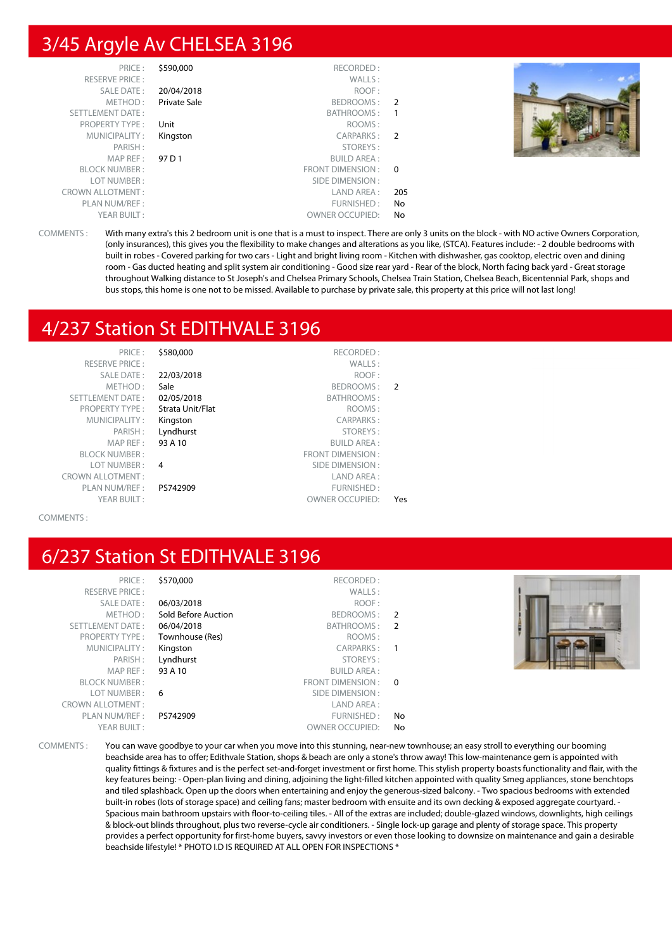# 3/45 Argyle Av CHELSEA 3196

| PRICE:                  | \$590,000    | RECORDED:              |                |  |
|-------------------------|--------------|------------------------|----------------|--|
| <b>RESERVE PRICE:</b>   |              | WALLS:                 |                |  |
| <b>SALE DATE:</b>       | 20/04/2018   | ROOF:                  |                |  |
| METHOD:                 | Private Sale | BEDROOMS:              | $\overline{2}$ |  |
| SETTLEMENT DATE:        |              | <b>BATHROOMS:</b>      | $\overline{1}$ |  |
| <b>PROPERTY TYPE:</b>   | Unit         | ROOMS:                 |                |  |
| MUNICIPALITY:           | Kingston     | CARPARKS:              | $\overline{2}$ |  |
| PARISH:                 |              | STOREYS:               |                |  |
| MAP REF:                | 97 D 1       | <b>BUILD AREA:</b>     |                |  |
| <b>BLOCK NUMBER:</b>    |              | FRONT DIMENSION :      | $\overline{0}$ |  |
| LOT NUMBER:             |              | SIDE DIMENSION:        |                |  |
| <b>CROWN ALLOTMENT:</b> |              | LAND AREA:             | 205            |  |
| PLAN NUM/REF:           |              | FURNISHED:             | No.            |  |
| YEAR BUILT:             |              | <b>OWNER OCCUPIED:</b> | No             |  |



COMMENTS : With many extra's this 2 bedroom unit is one that is a must to inspect. There are only 3 units on the block - with NO active Owners Corporation, (only insurances), this gives you the flexibility to make changes and alterations as you like, (STCA). Features include: - 2 double bedrooms with built in robes - Covered parking for two cars - Light and bright living room - Kitchen with dishwasher, gas cooktop, electric oven and dining room - Gas ducted heating and split system air conditioning - Good size rear yard - Rear of the block, North facing back yard - Great storage throughout Walking distance to St Joseph's and Chelsea Primary Schools, Chelsea Train Station, Chelsea Beach, Bicentennial Park, shops and bus stops, this home is one not to be missed. Available to purchase by private sale, this property at this price will not last long!

# 4/237 Station St EDITHVALE 3196

| PRICE:                  | \$580,000        | RECORDED:               |               |
|-------------------------|------------------|-------------------------|---------------|
| <b>RESERVE PRICE:</b>   |                  | WALLS:                  |               |
| <b>SALE DATE:</b>       | 22/03/2018       | ROOF:                   |               |
| METHOD:                 | Sale             | BEDROOMS:               | $\mathcal{P}$ |
| <b>SETTLEMENT DATE:</b> | 02/05/2018       | <b>BATHROOMS:</b>       |               |
| <b>PROPERTY TYPE:</b>   | Strata Unit/Flat | ROOMS:                  |               |
| MUNICIPALITY:           | Kingston         | CARPARKS:               |               |
| PARISH:                 | Lyndhurst        | STOREYS:                |               |
| MAP REF:                | 93 A 10          | <b>BUILD AREA:</b>      |               |
| <b>BLOCK NUMBER:</b>    |                  | <b>FRONT DIMENSION:</b> |               |
| LOT NUMBER:             | 4                | SIDE DIMENSION:         |               |
| <b>CROWN ALLOTMENT:</b> |                  | LAND AREA:              |               |
| PLAN NUM/REF:           | PS742909         | FURNISHED:              |               |
| YEAR BUILT:             |                  | <b>OWNER OCCUPIED:</b>  | Yes           |

#### COMMENTS :

# 6/237 Station St EDITHVALE 3196

| PRICE:                  | \$570,000           | RECORDED:              |                |  |
|-------------------------|---------------------|------------------------|----------------|--|
| <b>RESERVE PRICE:</b>   |                     | WALLS:                 |                |  |
| SALE DATE:              | 06/03/2018          | ROOF:                  |                |  |
| METHOD:                 | Sold Before Auction | BEDROOMS:              | $\overline{2}$ |  |
| SETTLEMENT DATE:        | 06/04/2018          | BATHROOMS: 2           |                |  |
| <b>PROPERTY TYPE:</b>   | Townhouse (Res)     | ROOMS:                 |                |  |
| MUNICIPALITY:           | Kingston            | CARPARKS:              |                |  |
| PARISH:                 | Lyndhurst           | STOREYS:               |                |  |
| MAP REF :               | 93 A 10             | <b>BUILD AREA:</b>     |                |  |
| <b>BLOCK NUMBER:</b>    |                     | FRONT DIMENSION: 0     |                |  |
| LOT NUMBER :            | -6                  | SIDE DIMENSION :       |                |  |
| <b>CROWN ALLOTMENT:</b> |                     | LAND AREA :            |                |  |
| PLAN NUM/REF :          | PS742909            | FURNISHED:             | No.            |  |
| YEAR BUILT:             |                     | <b>OWNER OCCUPIED:</b> | No             |  |
|                         |                     |                        |                |  |

COMMENTS : You can wave goodbye to your car when you move into this stunning, near-new townhouse; an easy stroll to everything our booming beachside area has to offer; Edithvale Station, shops & beach are only a stone's throw away! This low-maintenance gem is appointed with quality fittings & fixtures and is the perfect set-and-forget investment or first home. This stylish property boasts functionality and flair, with the key features being: - Open-plan living and dining, adjoining the light-filled kitchen appointed with quality Smeg appliances, stone benchtops and tiled splashback. Open up the doors when entertaining and enjoy the generous-sized balcony. - Two spacious bedrooms with extended built-in robes (lots of storage space) and ceiling fans; master bedroom with ensuite and its own decking & exposed aggregate courtyard. - Spacious main bathroom upstairs with floor-to-ceiling tiles. - All of the extras are included; double-glazed windows, downlights, high ceilings & block-out blinds throughout, plus two reverse-cycle air conditioners. - Single lock-up garage and plenty of storage space. This property provides a perfect opportunity for first-home buyers, savvy investors or even those looking to downsize on maintenance and gain a desirable beachside lifestyle! \* PHOTO I.D IS REQUIRED AT ALL OPEN FOR INSPECTIONS \*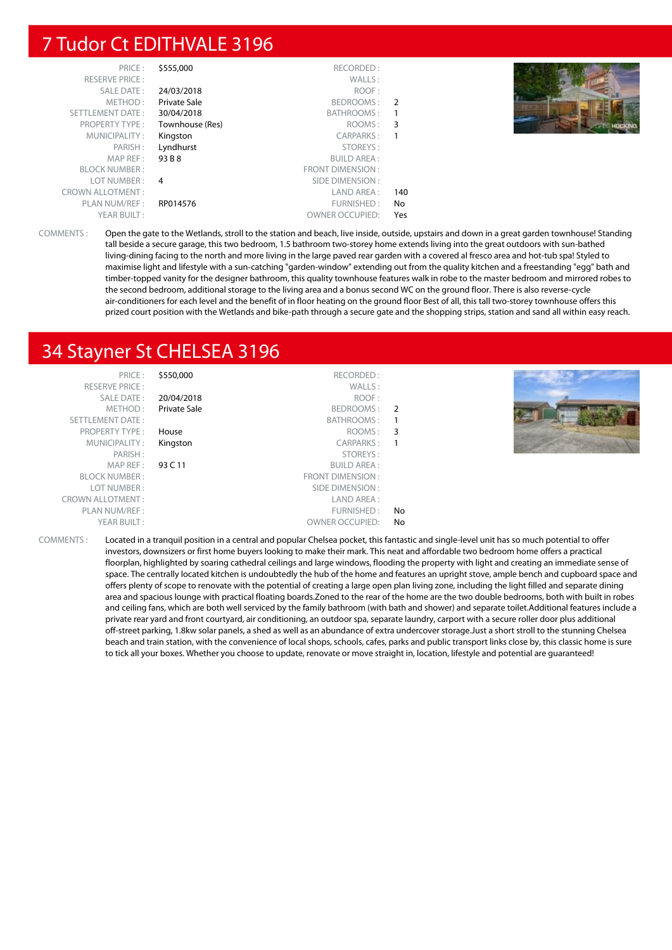# 7 Tudor Ct EDITHVALE 3196

| PRICE:                  | \$555,000       | RECORDED:              |     |                    |
|-------------------------|-----------------|------------------------|-----|--------------------|
| <b>RESERVE PRICE:</b>   |                 | WALLS:                 |     |                    |
| SALE DATE:              | 24/03/2018      | ROOF:                  |     |                    |
| METHOD:                 | Private Sale    | BEDROOMS: 2            |     |                    |
| SETTLEMENT DATE:        | 30/04/2018      | BATHROOMS:             |     |                    |
| <b>PROPERTY TYPE:</b>   | Townhouse (Res) | ROOMS: 3               |     | <b>E-T-HOCKING</b> |
| MUNICIPALITY:           | Kingston        | CARPARKS:              |     |                    |
| PARISH:                 | Lyndhurst       | STOREYS:               |     |                    |
| MAP REF :               | 93 B 8          | <b>BUILD AREA:</b>     |     |                    |
| <b>BLOCK NUMBER:</b>    |                 | FRONT DIMENSION:       |     |                    |
| LOT NUMBER :            | 4               | SIDE DIMENSION :       |     |                    |
| <b>CROWN ALLOTMENT:</b> |                 | LAND AREA :            | 140 |                    |
| PLAN NUM/REF :          | RP014576        | FURNISHED:             | No  |                    |
| YEAR BUILT:             |                 | <b>OWNER OCCUPIED:</b> | Yes |                    |

COMMENTS : Open the gate to the Wetlands, stroll to the station and beach, live inside, outside, upstairs and down in a great garden townhouse! Standing tall beside a secure garage, this two bedroom, 1.5 bathroom two-storey home extends living into the great outdoors with sun-bathed living-dining facing to the north and more living in the large paved rear garden with a covered al fresco area and hot-tub spa! Styled to maximise light and lifestyle with a sun-catching "garden-window" extending out from the quality kitchen and a freestanding "egg" bath and timber-topped vanity for the designer bathroom, this quality townhouse features walk in robe to the master bedroom and mirrored robes to the second bedroom, additional storage to the living area and a bonus second WC on the ground floor. There is also reverse-cycle air-conditioners for each level and the benefit of in floor heating on the ground floor Best of all, this tall two-storey townhouse offers this prized court position with the Wetlands and bike-path through a secure gate and the shopping strips, station and sand all within easy reach.

# 34 Stayner St CHELSEA 3196

| PRICE:                  | \$550,000           | RECORDED:              |     |  |
|-------------------------|---------------------|------------------------|-----|--|
| <b>RESERVE PRICE:</b>   |                     | WALLS:                 |     |  |
| SALE DATE:              | 20/04/2018          | ROOF:                  |     |  |
| METHOD:                 | <b>Private Sale</b> | BEDROOMS: 2            |     |  |
| <b>SETTLEMENT DATE:</b> |                     | BATHROOMS:             |     |  |
| <b>PROPERTY TYPE:</b>   | House               | ROOMS: 3               |     |  |
| MUNICIPALITY:           | Kingston            | CARPARKS:              |     |  |
| PARISH:                 |                     | STOREYS:               |     |  |
| MAP REF :               | 93 C 11             | <b>BUILD AREA:</b>     |     |  |
| <b>BLOCK NUMBER:</b>    |                     | FRONT DIMENSION:       |     |  |
| LOT NUMBER:             |                     | SIDE DIMENSION :       |     |  |
| <b>CROWN ALLOTMENT:</b> |                     | LAND AREA:             |     |  |
| PLAN NUM/REF:           |                     | FURNISHED:             | No. |  |
| YEAR BUILT:             |                     | <b>OWNER OCCUPIED:</b> | No  |  |
|                         |                     |                        |     |  |

COMMENTS : Located in a tranquil position in a central and popular Chelsea pocket, this fantastic and single-level unit has so much potential to offer investors, downsizers or first home buyers looking to make their mark. This neat and affordable two bedroom home offers a practical floorplan, highlighted by soaring cathedral ceilings and large windows, flooding the property with light and creating an immediate sense of space. The centrally located kitchen is undoubtedly the hub of the home and features an upright stove, ample bench and cupboard space and offers plenty of scope to renovate with the potential of creating a large open plan living zone, including the light filled and separate dining area and spacious lounge with practical floating boards.Zoned to the rear of the home are the two double bedrooms, both with built in robes and ceiling fans, which are both well serviced by the family bathroom (with bath and shower) and separate toilet.Additional features include a private rear yard and front courtyard, air conditioning, an outdoor spa, separate laundry, carport with a secure roller door plus additional off-street parking, 1.8kw solar panels, a shed as well as an abundance of extra undercover storage.Just a short stroll to the stunning Chelsea beach and train station, with the convenience of local shops, schools, cafes, parks and public transport links close by, this classic home is sure to tick all your boxes. Whether you choose to update, renovate or move straight in, location, lifestyle and potential are guaranteed!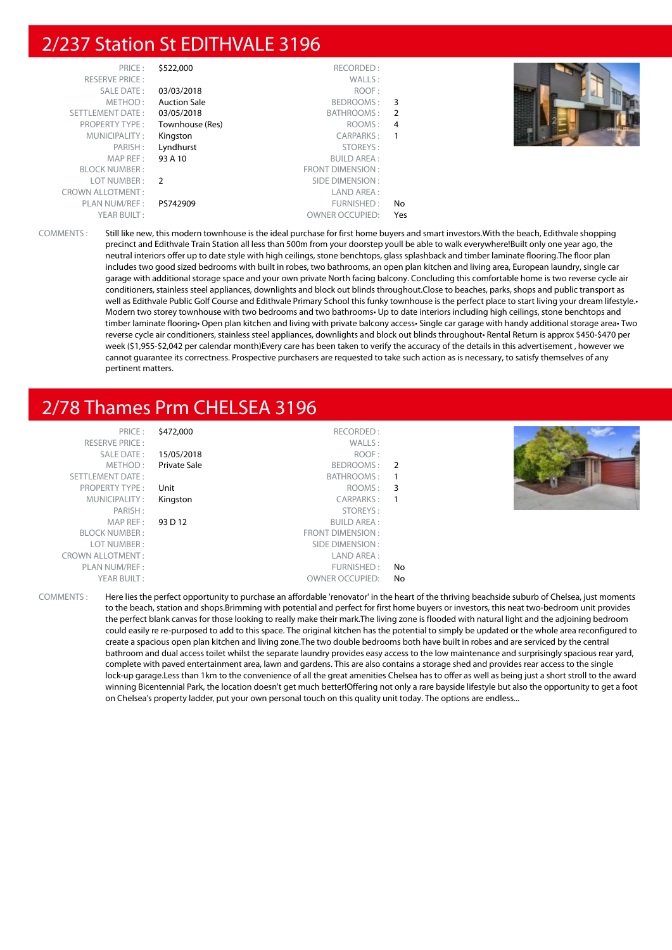# 2/237 Station St EDITHVALE 3196

| PRICE:                  | \$522,000           | RECORDED:              |     |  |
|-------------------------|---------------------|------------------------|-----|--|
| <b>RESERVE PRICE:</b>   |                     | WALLS:                 |     |  |
| SALE DATE:              | 03/03/2018          | ROOF:                  |     |  |
| METHOD:                 | <b>Auction Sale</b> | BEDROOMS:              | 3   |  |
| SETTLEMENT DATE:        | 03/05/2018          | BATHROOMS: 2           |     |  |
| PROPERTY TYPE:          | Townhouse (Res)     | ROOMS:                 | 4   |  |
| MUNICIPALITY:           | Kingston            | CARPARKS:              | 1   |  |
| PARISH:                 | Lyndhurst           | STOREYS:               |     |  |
| MAPREF:                 | 93 A 10             | <b>BUILD AREA:</b>     |     |  |
| <b>BLOCK NUMBER:</b>    |                     | FRONT DIMENSION:       |     |  |
| LOT NUMBER: 2           |                     | SIDE DIMENSION :       |     |  |
| <b>CROWN ALLOTMENT:</b> |                     | LAND AREA:             |     |  |
| PLAN NUM/REF :          | PS742909            | FURNISHED:             | No  |  |
| YEAR BUILT:             |                     | <b>OWNER OCCUPIED:</b> | Yes |  |

COMMENTS : Still like new, this modern townhouse is the ideal purchase for first home buyers and smart investors.With the beach, Edithvale shopping precinct and Edithvale Train Station all less than 500m from your doorstep youll be able to walk everywhere!Built only one year ago, the neutral interiors offer up to date style with high ceilings, stone benchtops, glass splashback and timber laminate flooring.The floor plan includes two good sized bedrooms with built in robes, two bathrooms, an open plan kitchen and living area, European laundry, single car garage with additional storage space and your own private North facing balcony. Concluding this comfortable home is two reverse cycle air conditioners, stainless steel appliances, downlights and block out blinds throughout.Close to beaches, parks, shops and public transport as well as Edithvale Public Golf Course and Edithvale Primary School this funky townhouse is the perfect place to start living your dream lifestyle.• Modern two storey townhouse with two bedrooms and two bathrooms• Up to date interiors including high ceilings, stone benchtops and timber laminate flooring• Open plan kitchen and living with private balcony access• Single car garage with handy additional storage area• Two reverse cycle air conditioners, stainless steel appliances, downlights and block out blinds throughout• Rental Return is approx \$450-\$470 per week (\$1,955-\$2,042 per calendar month)Every care has been taken to verify the accuracy of the details in this advertisement , however we cannot guarantee its correctness. Prospective purchasers are requested to take such action as is necessary, to satisfy themselves of any pertinent matters.

# 2/78 Thames Prm CHELSEA 3196

| PRICE:                  | \$472,000    | RECORDED:              |    |  |
|-------------------------|--------------|------------------------|----|--|
| <b>RESERVE PRICE:</b>   |              | WALLS:                 |    |  |
| SALE DATE:              | 15/05/2018   | ROOF:                  |    |  |
| METHOD:                 | Private Sale | BEDROOMS: 2            |    |  |
| SETTLEMENT DATE:        |              | BATHROOMS:             |    |  |
| PROPERTY TYPE:          | Unit         | ROOMS: 3               |    |  |
| MUNICIPALITY:           | Kingston     | CARPARKS:              |    |  |
| PARISH:                 |              | STOREYS:               |    |  |
| MAPREF:                 | 93 D 12      | <b>BUILD AREA:</b>     |    |  |
| <b>BLOCK NUMBER:</b>    |              | FRONT DIMENSION :      |    |  |
| LOT NUMBER:             |              | SIDE DIMENSION :       |    |  |
| <b>CROWN ALLOTMENT:</b> |              | LAND AREA :            |    |  |
| PLAN NUM/REF :          |              | FURNISHED:             | No |  |
| YEAR BUILT:             |              | <b>OWNER OCCUPIED:</b> | No |  |

COMMENTS : Here lies the perfect opportunity to purchase an affordable 'renovator' in the heart of the thriving beachside suburb of Chelsea, just moments to the beach, station and shops.Brimming with potential and perfect for first home buyers or investors, this neat two-bedroom unit provides the perfect blank canvas for those looking to really make their mark.The living zone is flooded with natural light and the adjoining bedroom could easily re re-purposed to add to this space. The original kitchen has the potential to simply be updated or the whole area reconfigured to create a spacious open plan kitchen and living zone.The two double bedrooms both have built in robes and are serviced by the central bathroom and dual access toilet whilst the separate laundry provides easy access to the low maintenance and surprisingly spacious rear yard, complete with paved entertainment area, lawn and gardens. This are also contains a storage shed and provides rear access to the single lock-up garage.Less than 1km to the convenience of all the great amenities Chelsea has to offer as well as being just a short stroll to the award winning Bicentennial Park, the location doesn't get much better!Offering not only a rare bayside lifestyle but also the opportunity to get a foot on Chelsea's property ladder, put your own personal touch on this quality unit today. The options are endless...